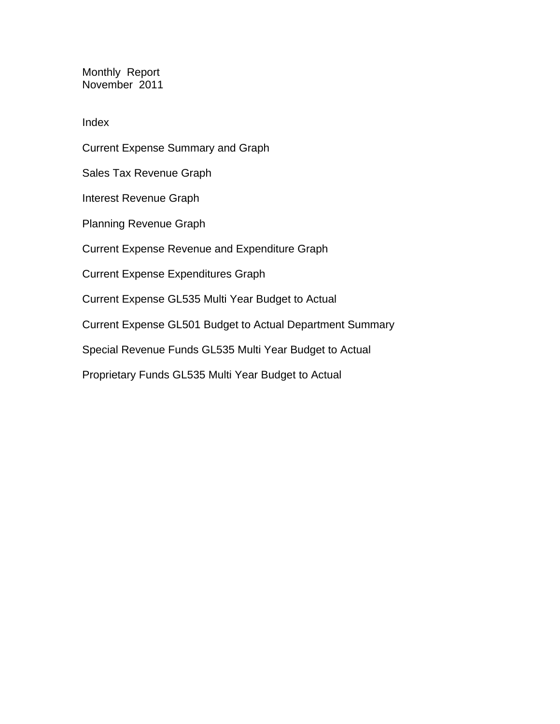Monthly Report November 2011

Index

Current Expense Summary and Graph Sales Tax Revenue Graph Interest Revenue Graph Planning Revenue Graph Current Expense Revenue and Expenditure Graph Current Expense Expenditures Graph Current Expense GL535 Multi Year Budget to Actual Current Expense GL501 Budget to Actual Department Summary Special Revenue Funds GL535 Multi Year Budget to Actual Proprietary Funds GL535 Multi Year Budget to Actual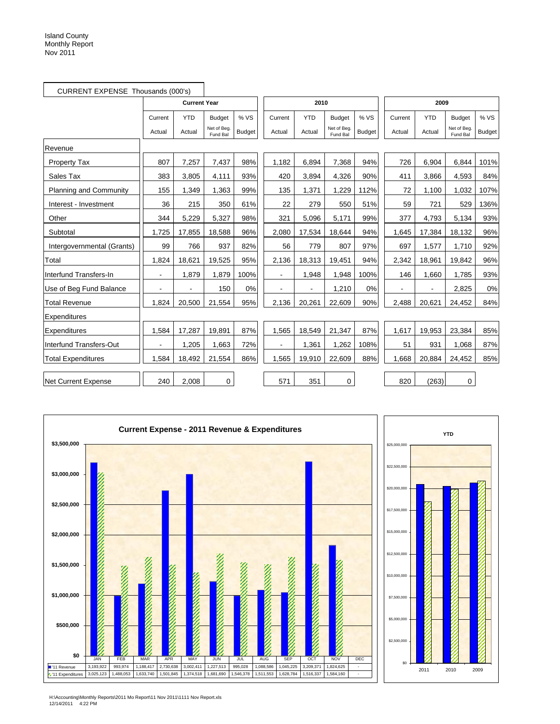|                               | CURRENT EXPENSE Thousands (000's) |                     |                         |               |                          |            |                        |               |         |            |                         |               |
|-------------------------------|-----------------------------------|---------------------|-------------------------|---------------|--------------------------|------------|------------------------|---------------|---------|------------|-------------------------|---------------|
|                               |                                   | <b>Current Year</b> |                         |               |                          | 2010       |                        |               |         | 2009       |                         |               |
|                               | Current                           | <b>YTD</b>          | <b>Budget</b>           | % VS          | Current                  | <b>YTD</b> | <b>Budget</b>          | % VS          | Current | <b>YTD</b> | <b>Budget</b>           | % VS          |
|                               | Actual                            | Actual              | Net of Beg.<br>Fund Bal | <b>Budget</b> | Actual                   | Actual     | Net of Beg<br>Fund Bal | <b>Budget</b> | Actual  | Actual     | Net of Beg.<br>Fund Bal | <b>Budget</b> |
| Revenue                       |                                   |                     |                         |               |                          |            |                        |               |         |            |                         |               |
| Property Tax                  | 807                               | 7,257               | 7,437                   | 98%           | 1,182                    | 6,894      | 7,368                  | 94%           | 726     | 6,904      | 6,844                   | 101%          |
| Sales Tax                     | 383                               | 3,805               | 4,111                   | 93%           | 420                      | 3,894      | 4,326                  | 90%           | 411     | 3,866      | 4,593                   | 84%           |
| <b>Planning and Community</b> | 155                               | 1,349               | 1,363                   | 99%           | 135                      | 1,371      | 1.229                  | 112%          | 72      | 1,100      | 1,032                   | 107%          |
| Interest - Investment         | 36                                | 215                 | 350                     | 61%           | 22                       | 279        | 550                    | 51%           | 59      | 721        | 529                     | 136%          |
| Other                         | 344                               | 5,229               | 5,327                   | 98%           | 321                      | 5,096      | 5,171                  | 99%           | 377     | 4,793      | 5,134                   | 93%           |
| Subtotal                      | 1,725                             | 17,855              | 18,588                  | 96%           | 2,080                    | 17,534     | 18,644                 | 94%           | 1,645   | 17,384     | 18,132                  | 96%           |
| Intergovernmental (Grants)    | 99                                | 766                 | 937                     | 82%           | 56                       | 779        | 807                    | 97%           | 697     | 1,577      | 1,710                   | 92%           |
| Total                         | 1,824                             | 18,621              | 19,525                  | 95%           | 2,136                    | 18,313     | 19,451                 | 94%           | 2,342   | 18,961     | 19,842                  | 96%           |
| Interfund Transfers-In        | $\blacksquare$                    | 1.879               | 1,879                   | 100%          | $\overline{\phantom{0}}$ | 1,948      | 1,948                  | 100%          | 146     | 1.660      | 1.785                   | 93%           |
| Use of Beg Fund Balance       |                                   |                     | 150                     | 0%            |                          |            | 1,210                  | 0%            | ä,      | ä,         | 2,825                   | 0%            |
| <b>Total Revenue</b>          | 1,824                             | 20,500              | 21,554                  | 95%           | 2,136                    | 20,261     | 22,609                 | 90%           | 2,488   | 20,621     | 24,452                  | 84%           |
| Expenditures                  |                                   |                     |                         |               |                          |            |                        |               |         |            |                         |               |
| Expenditures                  | 1,584                             | 17,287              | 19,891                  | 87%           | 1,565                    | 18,549     | 21,347                 | 87%           | 1,617   | 19,953     | 23,384                  | 85%           |
| Interfund Transfers-Out       |                                   | 1,205               | 1,663                   | 72%           |                          | 1,361      | 1,262                  | 108%          | 51      | 931        | 1,068                   | 87%           |
| <b>Total Expenditures</b>     | 1,584                             | 18,492              | 21,554                  | 86%           | 1,565                    | 19,910     | 22,609                 | 88%           | 1,668   | 20,884     | 24,452                  | 85%           |
| Net Current Expense           | 240                               | 2.008               | $\mathbf 0$             |               | 571                      | 351        | 0                      |               | 820     | (263)      | 0                       |               |



H:\Accounting\Monthly Reports\2011 Mo Report\11 Nov 2011\1111 Nov Report.xls 12/14/2011 4:22 PM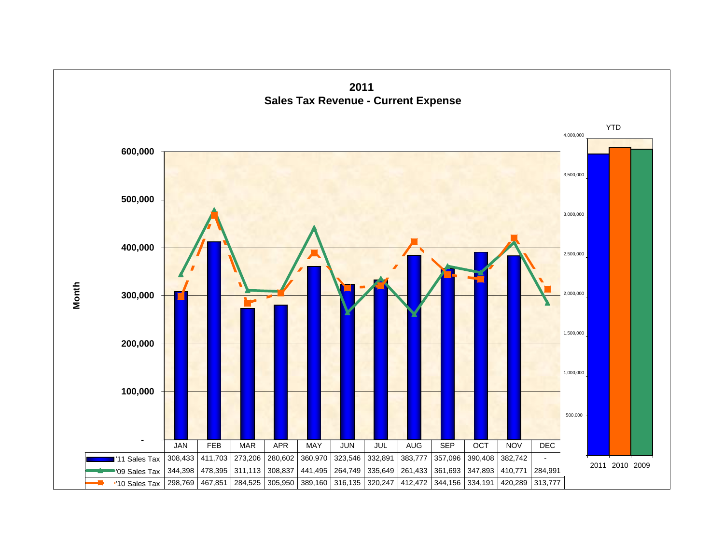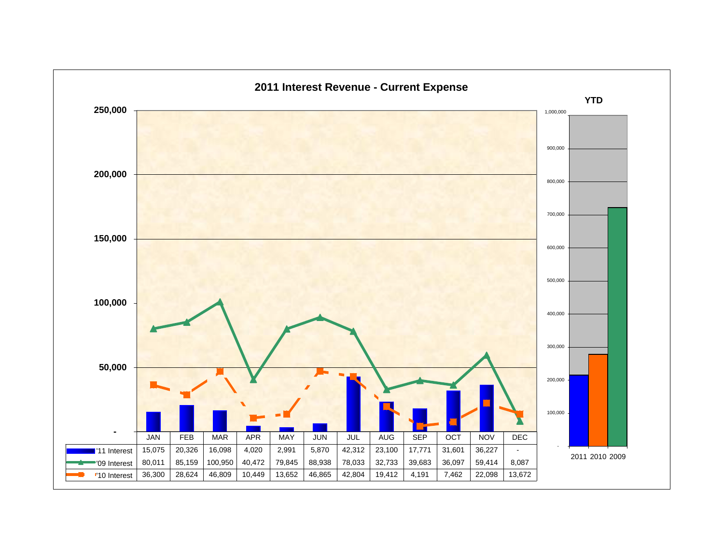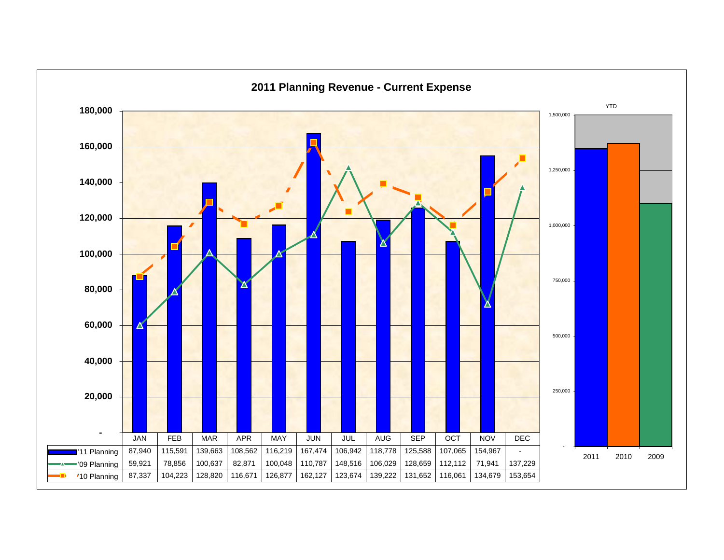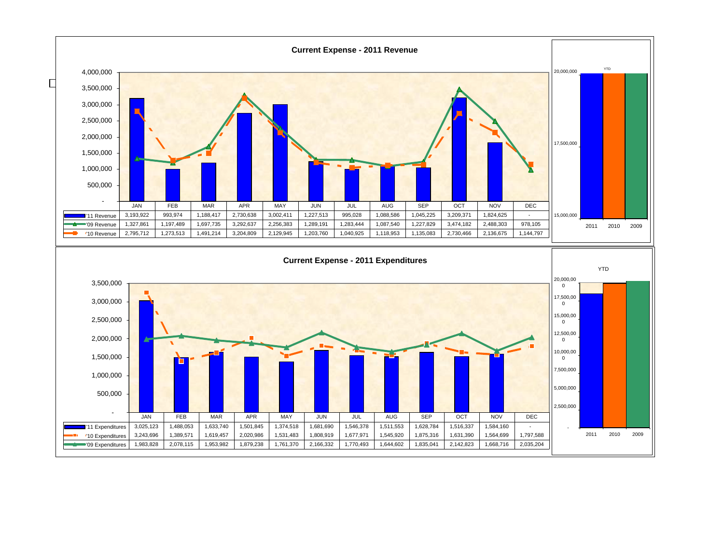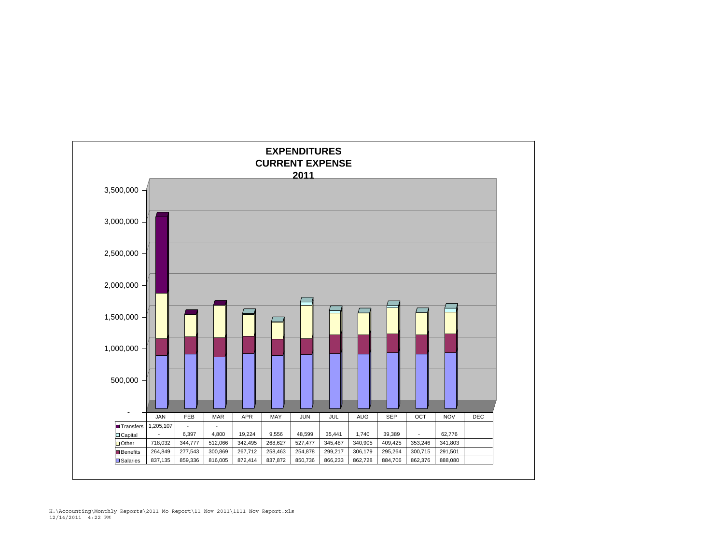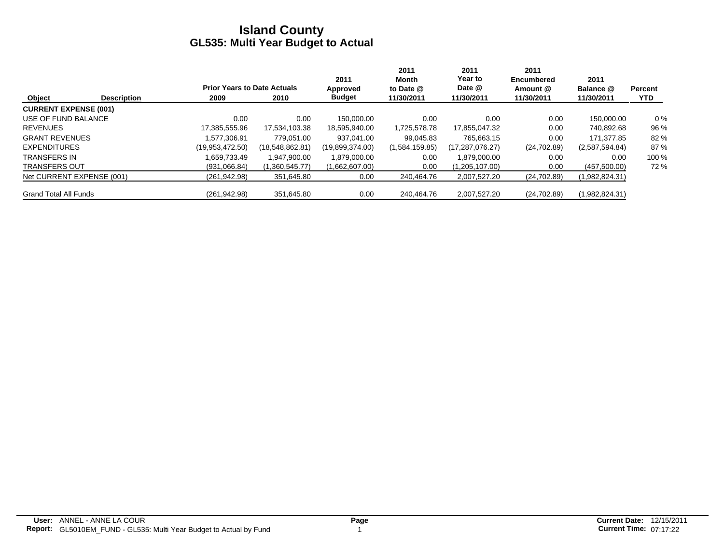|                              |                    |                                    |                 | 2011            | 2011<br>Month  | 2011<br>Year to   | 2011<br><b>Encumbered</b> | 2011           |                |
|------------------------------|--------------------|------------------------------------|-----------------|-----------------|----------------|-------------------|---------------------------|----------------|----------------|
|                              |                    | <b>Prior Years to Date Actuals</b> |                 | Approved        | to Date @      | Date @            | Amount @                  | Balance @      | <b>Percent</b> |
| Object                       | <b>Description</b> | 2009                               | 2010            | <b>Budget</b>   | 11/30/2011     | 11/30/2011        | 11/30/2011                | 11/30/2011     | <b>YTD</b>     |
| <b>CURRENT EXPENSE (001)</b> |                    |                                    |                 |                 |                |                   |                           |                |                |
| USE OF FUND BALANCE          |                    | 0.00                               | 0.00            | 150.000.00      | 0.00           | 0.00              | 0.00                      | 150.000.00     | $0\%$          |
| <b>REVENUES</b>              |                    | 17,385,555.96                      | 17,534,103.38   | 18,595,940.00   | 1,725,578.78   | 17,855,047.32     | 0.00                      | 740,892.68     | 96 %           |
| <b>GRANT REVENUES</b>        |                    | .577.306.91                        | 779.051.00      | 937.041.00      | 99.045.83      | 765.663.15        | 0.00                      | 171.377.85     | 82 %           |
| <b>EXPENDITURES</b>          |                    | (19,953,472.50)                    | (18,548,862.81) | (19,899,374.00) | (1,584,159.85) | (17, 287, 076.27) | (24,702.89)               | (2,587,594.84) | 87 %           |
| <b>TRANSFERS IN</b>          |                    | 1.659.733.49                       | 1.947.900.00    | 1,879,000.00    | 0.00           | 1.879.000.00      | 0.00                      | 0.00           | 100 %          |
| <b>TRANSFERS OUT</b>         |                    | (931,066.84)                       | (1,360,545.77)  | (1,662,607.00)  | 0.00           | (1,205,107.00)    | 0.00                      | (457,500.00)   | 72 %           |
| Net CURRENT EXPENSE (001)    |                    | (261, 942.98)                      | 351,645.80      | 0.00            | 240.464.76     | 2,007,527.20      | (24,702.89)               | (1,982,824.31) |                |
| <b>Grand Total All Funds</b> |                    | (261, 942.98)                      | 351,645.80      | 0.00            | 240.464.76     | 2,007,527.20      | (24,702.89)               | (1,982,824.31) |                |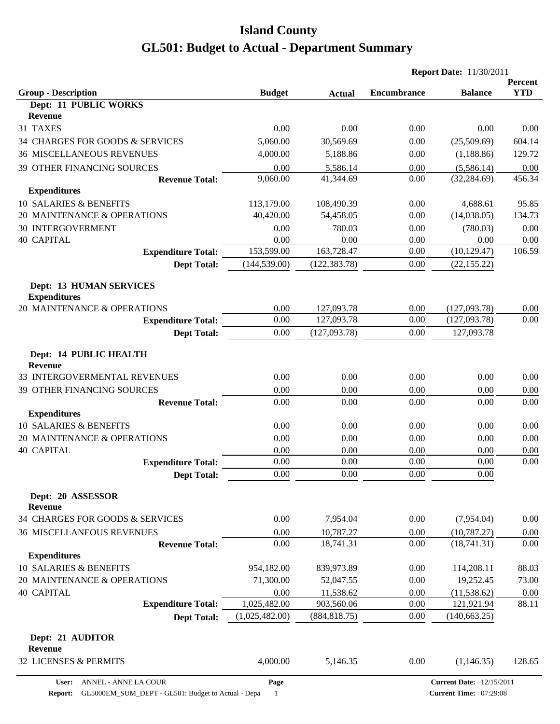|                                                             |                |               | <b>Report Date: 11/30/2011</b> |                |                       |
|-------------------------------------------------------------|----------------|---------------|--------------------------------|----------------|-----------------------|
| <b>Group - Description</b>                                  | <b>Budget</b>  | <b>Actual</b> | <b>Encumbrance</b>             | <b>Balance</b> | Percent<br><b>YTD</b> |
| Dept: 11 PUBLIC WORKS                                       |                |               |                                |                |                       |
| <b>Revenue</b>                                              |                |               |                                |                |                       |
| 31 TAXES                                                    | 0.00           | 0.00          | 0.00                           | 0.00           | 0.00                  |
| 34 CHARGES FOR GOODS & SERVICES                             | 5,060.00       | 30,569.69     | 0.00                           | (25,509.69)    | 604.14                |
| <b>36 MISCELLANEOUS REVENUES</b>                            | 4,000.00       | 5,188.86      | 0.00                           | (1,188.86)     | 129.72                |
| 39 OTHER FINANCING SOURCES                                  | 0.00           | 5,586.14      | 0.00                           | (5,586.14)     | 0.00                  |
| <b>Revenue Total:</b>                                       | 9,060.00       | 41,344.69     | 0.00                           | (32, 284.69)   | 456.34                |
| <b>Expenditures</b>                                         |                |               |                                |                |                       |
| <b>10 SALARIES &amp; BENEFITS</b>                           | 113,179.00     | 108,490.39    | 0.00                           | 4,688.61       | 95.85                 |
| 20 MAINTENANCE & OPERATIONS                                 | 40,420.00      | 54,458.05     | 0.00                           | (14,038.05)    | 134.73                |
| <b>30 INTERGOVERMENT</b>                                    | 0.00           | 780.03        | 0.00                           | (780.03)       | 0.00                  |
| <b>40 CAPITAL</b>                                           | 0.00           | 0.00          | 0.00                           | 0.00           | 0.00                  |
| <b>Expenditure Total:</b>                                   | 153,599.00     | 163,728.47    | 0.00                           | (10, 129.47)   | 106.59                |
| <b>Dept Total:</b>                                          | (144, 539.00)  | (122, 383.78) | 0.00                           | (22, 155.22)   |                       |
| <b>Dept: 13 HUMAN SERVICES</b><br><b>Expenditures</b>       |                |               |                                |                |                       |
| 20 MAINTENANCE & OPERATIONS                                 | 0.00           | 127,093.78    | 0.00                           | (127,093.78)   | 0.00                  |
| <b>Expenditure Total:</b>                                   | 0.00           | 127,093.78    | 0.00                           | (127,093.78)   | 0.00                  |
| <b>Dept Total:</b>                                          | 0.00           | (127,093.78)  | 0.00                           | 127,093.78     |                       |
| Dept: 14 PUBLIC HEALTH<br><b>Revenue</b>                    |                |               |                                |                |                       |
| 33 INTERGOVERMENTAL REVENUES                                | 0.00           | 0.00          | 0.00                           | 0.00           | 0.00                  |
| 39 OTHER FINANCING SOURCES                                  | 0.00           | 0.00          | 0.00                           | 0.00           | 0.00                  |
| <b>Revenue Total:</b>                                       | 0.00           | 0.00          | 0.00                           | 0.00           | 0.00                  |
| <b>Expenditures</b>                                         |                |               |                                |                |                       |
| 10 SALARIES & BENEFITS                                      | 0.00           | 0.00          | 0.00                           | 0.00           | 0.00                  |
| 20 MAINTENANCE & OPERATIONS                                 | 0.00           | 0.00          | 0.00                           | 0.00           | 0.00                  |
| <b>40 CAPITAL</b>                                           | 0.00           | 0.00          | 0.00                           | 0.00           | 0.00                  |
| <b>Expenditure Total:</b>                                   | 0.00           | $0.00\,$      | 0.00                           | 0.00           | 0.00                  |
| <b>Dept Total:</b>                                          | 0.00           | 0.00          | 0.00                           | 0.00           |                       |
| Dept: 20 ASSESSOR<br><b>Revenue</b>                         |                |               |                                |                |                       |
| 34 CHARGES FOR GOODS & SERVICES                             | 0.00           | 7,954.04      | 0.00                           | (7,954.04)     | 0.00                  |
| <b>36 MISCELLANEOUS REVENUES</b>                            | 0.00           | 10,787.27     | 0.00                           | (10, 787.27)   | 0.00                  |
| <b>Revenue Total:</b>                                       | 0.00           | 18,741.31     | 0.00                           | (18,741.31)    | 0.00                  |
| <b>Expenditures</b>                                         |                |               |                                |                |                       |
| 10 SALARIES & BENEFITS                                      | 954,182.00     | 839,973.89    | 0.00                           | 114,208.11     | 88.03                 |
| 20 MAINTENANCE & OPERATIONS                                 | 71,300.00      | 52,047.55     | 0.00                           | 19,252.45      | 73.00                 |
| <b>40 CAPITAL</b>                                           | 0.00           | 11,538.62     | 0.00                           | (11, 538.62)   | 0.00                  |
| <b>Expenditure Total:</b>                                   | 1,025,482.00   | 903,560.06    | 0.00                           | 121,921.94     | 88.11                 |
| <b>Dept Total:</b>                                          | (1,025,482.00) | (884, 818.75) | 0.00                           | (140, 663.25)  |                       |
| Dept: 21 AUDITOR<br><b>Revenue</b><br>32 LICENSES & PERMITS | 4,000.00       | 5,146.35      | 0.00                           | (1,146.35)     | 128.65                |
|                                                             |                |               |                                |                |                       |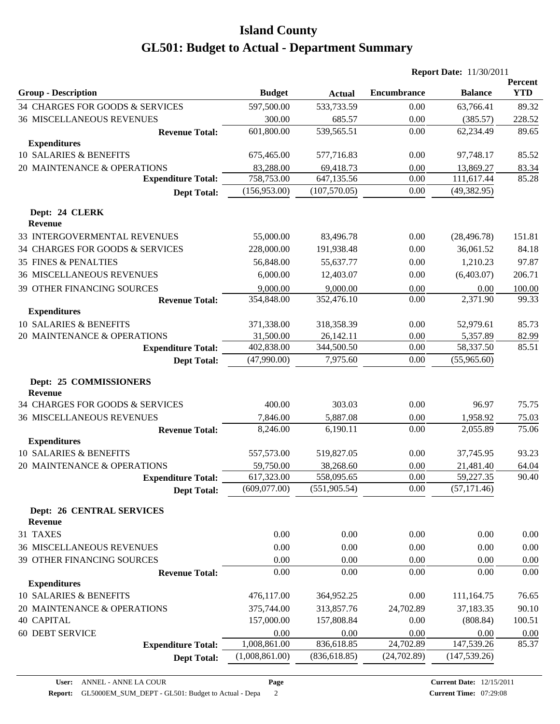|                                                    |                |               | <b>Report Date: 11/30/2011</b> |                |                       |
|----------------------------------------------------|----------------|---------------|--------------------------------|----------------|-----------------------|
| <b>Group - Description</b>                         | <b>Budget</b>  | <b>Actual</b> | <b>Encumbrance</b>             | <b>Balance</b> | Percent<br><b>YTD</b> |
| 34 CHARGES FOR GOODS & SERVICES                    | 597,500.00     | 533,733.59    | 0.00                           | 63,766.41      | 89.32                 |
| <b>36 MISCELLANEOUS REVENUES</b>                   | 300.00         | 685.57        | 0.00                           | (385.57)       | 228.52                |
| <b>Revenue Total:</b>                              | 601,800.00     | 539,565.51    | 0.00                           | 62,234.49      | 89.65                 |
| <b>Expenditures</b>                                |                |               |                                |                |                       |
| 10 SALARIES & BENEFITS                             | 675,465.00     | 577,716.83    | 0.00                           | 97,748.17      | 85.52                 |
| 20 MAINTENANCE & OPERATIONS                        | 83,288.00      | 69,418.73     | 0.00                           | 13,869.27      | 83.34                 |
| <b>Expenditure Total:</b>                          | 758,753.00     | 647,135.56    | 0.00                           | 111,617.44     | 85.28                 |
| <b>Dept Total:</b>                                 | (156, 953.00)  | (107, 570.05) | 0.00                           | (49, 382.95)   |                       |
| Dept: 24 CLERK<br><b>Revenue</b>                   |                |               |                                |                |                       |
| 33 INTERGOVERMENTAL REVENUES                       | 55,000.00      | 83,496.78     | 0.00                           | (28, 496.78)   | 151.81                |
| 34 CHARGES FOR GOODS & SERVICES                    | 228,000.00     | 191,938.48    | 0.00                           | 36,061.52      | 84.18                 |
| <b>35 FINES &amp; PENALTIES</b>                    | 56,848.00      | 55,637.77     | 0.00                           | 1,210.23       | 97.87                 |
| <b>36 MISCELLANEOUS REVENUES</b>                   | 6,000.00       | 12,403.07     | 0.00                           | (6,403.07)     | 206.71                |
| 39 OTHER FINANCING SOURCES                         | 9,000.00       | 9,000.00      | 0.00                           | 0.00           | 100.00                |
| <b>Revenue Total:</b>                              | 354,848.00     | 352,476.10    | 0.00                           | 2,371.90       | 99.33                 |
| <b>Expenditures</b>                                |                |               |                                |                |                       |
| 10 SALARIES & BENEFITS                             | 371,338.00     | 318,358.39    | 0.00                           | 52,979.61      | 85.73                 |
| 20 MAINTENANCE & OPERATIONS                        | 31,500.00      | 26,142.11     | 0.00                           | 5,357.89       | 82.99                 |
| <b>Expenditure Total:</b>                          | 402,838.00     | 344,500.50    | 0.00                           | 58,337.50      | 85.51                 |
| <b>Dept Total:</b>                                 | (47,990.00)    | 7,975.60      | 0.00                           | (55,965.60)    |                       |
| Dept: 25 COMMISSIONERS<br><b>Revenue</b>           |                |               |                                |                |                       |
| 34 CHARGES FOR GOODS & SERVICES                    | 400.00         | 303.03        | 0.00                           | 96.97          | 75.75                 |
| <b>36 MISCELLANEOUS REVENUES</b>                   | 7,846.00       | 5,887.08      | 0.00                           | 1,958.92       | 75.03                 |
| <b>Revenue Total:</b>                              | 8,246.00       | 6,190.11      | 0.00                           | 2,055.89       | 75.06                 |
| <b>Expenditures</b>                                |                |               |                                |                |                       |
| 10 SALARIES & BENEFITS                             | 557,573.00     | 519,827.05    | 0.00                           | 37,745.95      | 93.23                 |
| 20 MAINTENANCE & OPERATIONS                        | 59,750.00      | 38,268.60     | 0.00                           | 21,481.40      | 64.04                 |
| <b>Expenditure Total:</b>                          | 617,323.00     | 558,095.65    | $0.00\,$                       | 59,227.35      | 90.40                 |
| <b>Dept Total:</b>                                 | (609,077.00)   | (551, 905.54) | 0.00                           | (57, 171.46)   |                       |
| <b>Dept: 26 CENTRAL SERVICES</b><br><b>Revenue</b> |                |               |                                |                |                       |
| 31 TAXES                                           | 0.00           | 0.00          | 0.00                           | 0.00           | 0.00                  |
| <b>36 MISCELLANEOUS REVENUES</b>                   | 0.00           | 0.00          | 0.00                           | 0.00           | 0.00                  |
| 39 OTHER FINANCING SOURCES                         | 0.00           | 0.00          | 0.00                           | 0.00           | 0.00                  |
| <b>Revenue Total:</b>                              | 0.00           | 0.00          | 0.00                           | 0.00           | 0.00                  |
| <b>Expenditures</b>                                |                |               |                                |                |                       |
| 10 SALARIES & BENEFITS                             | 476,117.00     | 364,952.25    | 0.00                           | 111,164.75     | 76.65                 |
| 20 MAINTENANCE & OPERATIONS                        | 375,744.00     | 313,857.76    | 24,702.89                      | 37,183.35      | 90.10                 |
| <b>40 CAPITAL</b>                                  | 157,000.00     | 157,808.84    | 0.00                           | (808.84)       | 100.51                |
| 60 DEBT SERVICE                                    | 0.00           | 0.00          | 0.00                           | 0.00           | 0.00                  |
| <b>Expenditure Total:</b>                          | 1,008,861.00   | 836,618.85    | 24,702.89                      | 147,539.26     | 85.37                 |
| <b>Dept Total:</b>                                 | (1,008,861.00) | (836, 618.85) | (24,702.89)                    | (147, 539.26)  |                       |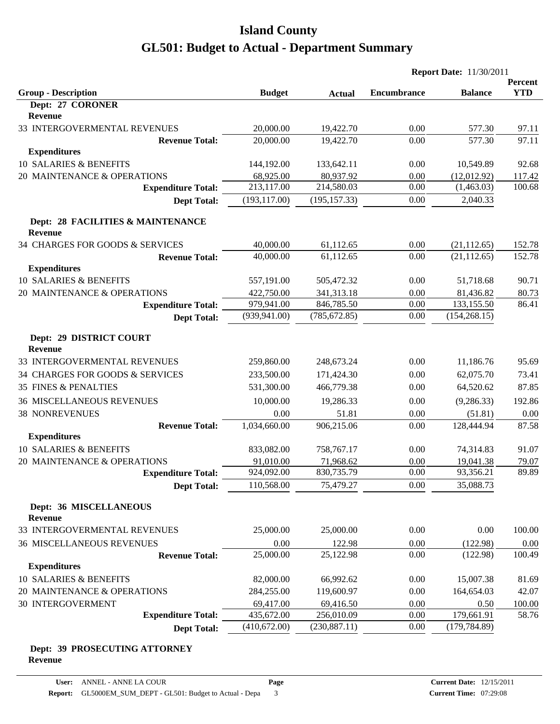| <b>YTD</b><br><b>Group - Description</b><br><b>Encumbrance</b><br><b>Budget</b><br><b>Balance</b><br><b>Actual</b><br>Dept: 27 CORONER<br><b>Revenue</b><br>33 INTERGOVERMENTAL REVENUES<br>20,000.00<br>19,422.70<br>0.00<br>577.30<br>97.11<br>20,000.00<br>97.11<br>19,422.70<br>0.00<br>577.30<br><b>Revenue Total:</b><br><b>Expenditures</b><br>10 SALARIES & BENEFITS<br>144,192.00<br>0.00<br>10,549.89<br>133,642.11<br>20 MAINTENANCE & OPERATIONS<br>68,925.00<br>80,937.92<br>0.00<br>(12,012.92)<br>213,117.00<br>0.00<br>214,580.03<br>(1,463.03)<br><b>Expenditure Total:</b><br>(193, 117.00)<br>(195, 157.33)<br>0.00<br>2,040.33<br><b>Dept Total:</b><br>Dept: 28 FACILITIES & MAINTENANCE<br><b>Revenue</b><br>34 CHARGES FOR GOODS & SERVICES<br>40,000.00<br>61,112.65<br>(21, 112.65)<br>0.00<br>40,000.00<br>61,112.65<br>0.00<br>(21, 112.65)<br><b>Revenue Total:</b><br><b>Expenditures</b><br>10 SALARIES & BENEFITS<br>557,191.00<br>51,718.68<br>90.71<br>505,472.32<br>0.00<br>20 MAINTENANCE & OPERATIONS<br>422,750.00<br>341,313.18<br>0.00<br>81,436.82<br>80.73<br>979,941.00<br>846,785.50<br>0.00<br>133,155.50<br>86.41<br><b>Expenditure Total:</b><br>0.00<br>(939, 941.00)<br>(785, 672.85)<br>(154, 268.15)<br><b>Dept Total:</b><br>Dept: 29 DISTRICT COURT<br><b>Revenue</b><br>33 INTERGOVERMENTAL REVENUES<br>248,673.24<br>0.00<br>11,186.76<br>259,860.00<br>34 CHARGES FOR GOODS & SERVICES<br>233,500.00<br>171,424.30<br>0.00<br>62,075.70<br>73.41<br><b>35 FINES &amp; PENALTIES</b><br>531,300.00<br>466,779.38<br>0.00<br>64,520.62<br><b>36 MISCELLANEOUS REVENUES</b><br>10,000.00<br>19,286.33<br>0.00<br>(9, 286.33)<br>192.86<br><b>38 NONREVENUES</b><br>0.00<br>51.81<br>0.00<br>(51.81)<br>0.00<br>1,034,660.00<br>906,215.06<br>128,444.94<br><b>Revenue Total:</b><br>0.00<br><b>Expenditures</b><br>10 SALARIES & BENEFITS<br>833,082.00<br>0.00<br>74,314.83<br>758,767.17<br>20 MAINTENANCE & OPERATIONS<br>91,010.00<br>71,968.62<br>0.00<br>19,041.38<br>79.07<br>0.00<br>89.89<br>924,092.00<br>93,356.21<br>830,735.79<br><b>Expenditure Total:</b><br>110,568.00<br>35,088.73<br>75,479.27<br>0.00<br><b>Dept Total:</b><br>Dept: 36 MISCELLANEOUS<br><b>Revenue</b><br>33 INTERGOVERMENTAL REVENUES<br>25,000.00<br>25,000.00<br>0.00<br>0.00<br><b>36 MISCELLANEOUS REVENUES</b><br>(122.98)<br>0.00<br>122.98<br>0.00<br>0.00<br>25,000.00<br>25,122.98<br>0.00<br>(122.98)<br><b>Revenue Total:</b><br><b>Expenditures</b><br>10 SALARIES & BENEFITS<br>82,000.00<br>66,992.62<br>0.00<br>15,007.38<br>20 MAINTENANCE & OPERATIONS<br>119,600.97<br>0.00<br>164,654.03<br>284,255.00<br>30 INTERGOVERMENT<br>69,417.00<br>69,416.50<br>0.00<br>0.50<br>179,661.91<br><b>Expenditure Total:</b><br>435,672.00<br>256,010.09<br>0.00 |                    |              |               | <b>Report Date: 11/30/2011</b> |               |         |
|------------------------------------------------------------------------------------------------------------------------------------------------------------------------------------------------------------------------------------------------------------------------------------------------------------------------------------------------------------------------------------------------------------------------------------------------------------------------------------------------------------------------------------------------------------------------------------------------------------------------------------------------------------------------------------------------------------------------------------------------------------------------------------------------------------------------------------------------------------------------------------------------------------------------------------------------------------------------------------------------------------------------------------------------------------------------------------------------------------------------------------------------------------------------------------------------------------------------------------------------------------------------------------------------------------------------------------------------------------------------------------------------------------------------------------------------------------------------------------------------------------------------------------------------------------------------------------------------------------------------------------------------------------------------------------------------------------------------------------------------------------------------------------------------------------------------------------------------------------------------------------------------------------------------------------------------------------------------------------------------------------------------------------------------------------------------------------------------------------------------------------------------------------------------------------------------------------------------------------------------------------------------------------------------------------------------------------------------------------------------------------------------------------------------------------------------------------------------------------------------------------------------------------------------------------------------------------------------------------------------------------------------------------------------------------------------------------------------------------------------------------------------------------------------------------------|--------------------|--------------|---------------|--------------------------------|---------------|---------|
|                                                                                                                                                                                                                                                                                                                                                                                                                                                                                                                                                                                                                                                                                                                                                                                                                                                                                                                                                                                                                                                                                                                                                                                                                                                                                                                                                                                                                                                                                                                                                                                                                                                                                                                                                                                                                                                                                                                                                                                                                                                                                                                                                                                                                                                                                                                                                                                                                                                                                                                                                                                                                                                                                                                                                                                                                  |                    |              |               |                                |               | Percent |
|                                                                                                                                                                                                                                                                                                                                                                                                                                                                                                                                                                                                                                                                                                                                                                                                                                                                                                                                                                                                                                                                                                                                                                                                                                                                                                                                                                                                                                                                                                                                                                                                                                                                                                                                                                                                                                                                                                                                                                                                                                                                                                                                                                                                                                                                                                                                                                                                                                                                                                                                                                                                                                                                                                                                                                                                                  |                    |              |               |                                |               |         |
|                                                                                                                                                                                                                                                                                                                                                                                                                                                                                                                                                                                                                                                                                                                                                                                                                                                                                                                                                                                                                                                                                                                                                                                                                                                                                                                                                                                                                                                                                                                                                                                                                                                                                                                                                                                                                                                                                                                                                                                                                                                                                                                                                                                                                                                                                                                                                                                                                                                                                                                                                                                                                                                                                                                                                                                                                  |                    |              |               |                                |               |         |
|                                                                                                                                                                                                                                                                                                                                                                                                                                                                                                                                                                                                                                                                                                                                                                                                                                                                                                                                                                                                                                                                                                                                                                                                                                                                                                                                                                                                                                                                                                                                                                                                                                                                                                                                                                                                                                                                                                                                                                                                                                                                                                                                                                                                                                                                                                                                                                                                                                                                                                                                                                                                                                                                                                                                                                                                                  |                    |              |               |                                |               |         |
|                                                                                                                                                                                                                                                                                                                                                                                                                                                                                                                                                                                                                                                                                                                                                                                                                                                                                                                                                                                                                                                                                                                                                                                                                                                                                                                                                                                                                                                                                                                                                                                                                                                                                                                                                                                                                                                                                                                                                                                                                                                                                                                                                                                                                                                                                                                                                                                                                                                                                                                                                                                                                                                                                                                                                                                                                  |                    |              |               |                                |               |         |
|                                                                                                                                                                                                                                                                                                                                                                                                                                                                                                                                                                                                                                                                                                                                                                                                                                                                                                                                                                                                                                                                                                                                                                                                                                                                                                                                                                                                                                                                                                                                                                                                                                                                                                                                                                                                                                                                                                                                                                                                                                                                                                                                                                                                                                                                                                                                                                                                                                                                                                                                                                                                                                                                                                                                                                                                                  |                    |              |               |                                |               |         |
|                                                                                                                                                                                                                                                                                                                                                                                                                                                                                                                                                                                                                                                                                                                                                                                                                                                                                                                                                                                                                                                                                                                                                                                                                                                                                                                                                                                                                                                                                                                                                                                                                                                                                                                                                                                                                                                                                                                                                                                                                                                                                                                                                                                                                                                                                                                                                                                                                                                                                                                                                                                                                                                                                                                                                                                                                  |                    |              |               |                                |               | 92.68   |
|                                                                                                                                                                                                                                                                                                                                                                                                                                                                                                                                                                                                                                                                                                                                                                                                                                                                                                                                                                                                                                                                                                                                                                                                                                                                                                                                                                                                                                                                                                                                                                                                                                                                                                                                                                                                                                                                                                                                                                                                                                                                                                                                                                                                                                                                                                                                                                                                                                                                                                                                                                                                                                                                                                                                                                                                                  |                    |              |               |                                |               | 117.42  |
|                                                                                                                                                                                                                                                                                                                                                                                                                                                                                                                                                                                                                                                                                                                                                                                                                                                                                                                                                                                                                                                                                                                                                                                                                                                                                                                                                                                                                                                                                                                                                                                                                                                                                                                                                                                                                                                                                                                                                                                                                                                                                                                                                                                                                                                                                                                                                                                                                                                                                                                                                                                                                                                                                                                                                                                                                  |                    |              |               |                                |               | 100.68  |
|                                                                                                                                                                                                                                                                                                                                                                                                                                                                                                                                                                                                                                                                                                                                                                                                                                                                                                                                                                                                                                                                                                                                                                                                                                                                                                                                                                                                                                                                                                                                                                                                                                                                                                                                                                                                                                                                                                                                                                                                                                                                                                                                                                                                                                                                                                                                                                                                                                                                                                                                                                                                                                                                                                                                                                                                                  |                    |              |               |                                |               |         |
|                                                                                                                                                                                                                                                                                                                                                                                                                                                                                                                                                                                                                                                                                                                                                                                                                                                                                                                                                                                                                                                                                                                                                                                                                                                                                                                                                                                                                                                                                                                                                                                                                                                                                                                                                                                                                                                                                                                                                                                                                                                                                                                                                                                                                                                                                                                                                                                                                                                                                                                                                                                                                                                                                                                                                                                                                  |                    |              |               |                                |               |         |
|                                                                                                                                                                                                                                                                                                                                                                                                                                                                                                                                                                                                                                                                                                                                                                                                                                                                                                                                                                                                                                                                                                                                                                                                                                                                                                                                                                                                                                                                                                                                                                                                                                                                                                                                                                                                                                                                                                                                                                                                                                                                                                                                                                                                                                                                                                                                                                                                                                                                                                                                                                                                                                                                                                                                                                                                                  |                    |              |               |                                |               | 152.78  |
|                                                                                                                                                                                                                                                                                                                                                                                                                                                                                                                                                                                                                                                                                                                                                                                                                                                                                                                                                                                                                                                                                                                                                                                                                                                                                                                                                                                                                                                                                                                                                                                                                                                                                                                                                                                                                                                                                                                                                                                                                                                                                                                                                                                                                                                                                                                                                                                                                                                                                                                                                                                                                                                                                                                                                                                                                  |                    |              |               |                                |               | 152.78  |
|                                                                                                                                                                                                                                                                                                                                                                                                                                                                                                                                                                                                                                                                                                                                                                                                                                                                                                                                                                                                                                                                                                                                                                                                                                                                                                                                                                                                                                                                                                                                                                                                                                                                                                                                                                                                                                                                                                                                                                                                                                                                                                                                                                                                                                                                                                                                                                                                                                                                                                                                                                                                                                                                                                                                                                                                                  |                    |              |               |                                |               |         |
|                                                                                                                                                                                                                                                                                                                                                                                                                                                                                                                                                                                                                                                                                                                                                                                                                                                                                                                                                                                                                                                                                                                                                                                                                                                                                                                                                                                                                                                                                                                                                                                                                                                                                                                                                                                                                                                                                                                                                                                                                                                                                                                                                                                                                                                                                                                                                                                                                                                                                                                                                                                                                                                                                                                                                                                                                  |                    |              |               |                                |               |         |
|                                                                                                                                                                                                                                                                                                                                                                                                                                                                                                                                                                                                                                                                                                                                                                                                                                                                                                                                                                                                                                                                                                                                                                                                                                                                                                                                                                                                                                                                                                                                                                                                                                                                                                                                                                                                                                                                                                                                                                                                                                                                                                                                                                                                                                                                                                                                                                                                                                                                                                                                                                                                                                                                                                                                                                                                                  |                    |              |               |                                |               |         |
|                                                                                                                                                                                                                                                                                                                                                                                                                                                                                                                                                                                                                                                                                                                                                                                                                                                                                                                                                                                                                                                                                                                                                                                                                                                                                                                                                                                                                                                                                                                                                                                                                                                                                                                                                                                                                                                                                                                                                                                                                                                                                                                                                                                                                                                                                                                                                                                                                                                                                                                                                                                                                                                                                                                                                                                                                  |                    |              |               |                                |               |         |
|                                                                                                                                                                                                                                                                                                                                                                                                                                                                                                                                                                                                                                                                                                                                                                                                                                                                                                                                                                                                                                                                                                                                                                                                                                                                                                                                                                                                                                                                                                                                                                                                                                                                                                                                                                                                                                                                                                                                                                                                                                                                                                                                                                                                                                                                                                                                                                                                                                                                                                                                                                                                                                                                                                                                                                                                                  |                    |              |               |                                |               |         |
|                                                                                                                                                                                                                                                                                                                                                                                                                                                                                                                                                                                                                                                                                                                                                                                                                                                                                                                                                                                                                                                                                                                                                                                                                                                                                                                                                                                                                                                                                                                                                                                                                                                                                                                                                                                                                                                                                                                                                                                                                                                                                                                                                                                                                                                                                                                                                                                                                                                                                                                                                                                                                                                                                                                                                                                                                  |                    |              |               |                                |               |         |
|                                                                                                                                                                                                                                                                                                                                                                                                                                                                                                                                                                                                                                                                                                                                                                                                                                                                                                                                                                                                                                                                                                                                                                                                                                                                                                                                                                                                                                                                                                                                                                                                                                                                                                                                                                                                                                                                                                                                                                                                                                                                                                                                                                                                                                                                                                                                                                                                                                                                                                                                                                                                                                                                                                                                                                                                                  |                    |              |               |                                |               | 95.69   |
|                                                                                                                                                                                                                                                                                                                                                                                                                                                                                                                                                                                                                                                                                                                                                                                                                                                                                                                                                                                                                                                                                                                                                                                                                                                                                                                                                                                                                                                                                                                                                                                                                                                                                                                                                                                                                                                                                                                                                                                                                                                                                                                                                                                                                                                                                                                                                                                                                                                                                                                                                                                                                                                                                                                                                                                                                  |                    |              |               |                                |               |         |
|                                                                                                                                                                                                                                                                                                                                                                                                                                                                                                                                                                                                                                                                                                                                                                                                                                                                                                                                                                                                                                                                                                                                                                                                                                                                                                                                                                                                                                                                                                                                                                                                                                                                                                                                                                                                                                                                                                                                                                                                                                                                                                                                                                                                                                                                                                                                                                                                                                                                                                                                                                                                                                                                                                                                                                                                                  |                    |              |               |                                |               | 87.85   |
|                                                                                                                                                                                                                                                                                                                                                                                                                                                                                                                                                                                                                                                                                                                                                                                                                                                                                                                                                                                                                                                                                                                                                                                                                                                                                                                                                                                                                                                                                                                                                                                                                                                                                                                                                                                                                                                                                                                                                                                                                                                                                                                                                                                                                                                                                                                                                                                                                                                                                                                                                                                                                                                                                                                                                                                                                  |                    |              |               |                                |               |         |
|                                                                                                                                                                                                                                                                                                                                                                                                                                                                                                                                                                                                                                                                                                                                                                                                                                                                                                                                                                                                                                                                                                                                                                                                                                                                                                                                                                                                                                                                                                                                                                                                                                                                                                                                                                                                                                                                                                                                                                                                                                                                                                                                                                                                                                                                                                                                                                                                                                                                                                                                                                                                                                                                                                                                                                                                                  |                    |              |               |                                |               |         |
|                                                                                                                                                                                                                                                                                                                                                                                                                                                                                                                                                                                                                                                                                                                                                                                                                                                                                                                                                                                                                                                                                                                                                                                                                                                                                                                                                                                                                                                                                                                                                                                                                                                                                                                                                                                                                                                                                                                                                                                                                                                                                                                                                                                                                                                                                                                                                                                                                                                                                                                                                                                                                                                                                                                                                                                                                  |                    |              |               |                                |               | 87.58   |
|                                                                                                                                                                                                                                                                                                                                                                                                                                                                                                                                                                                                                                                                                                                                                                                                                                                                                                                                                                                                                                                                                                                                                                                                                                                                                                                                                                                                                                                                                                                                                                                                                                                                                                                                                                                                                                                                                                                                                                                                                                                                                                                                                                                                                                                                                                                                                                                                                                                                                                                                                                                                                                                                                                                                                                                                                  |                    |              |               |                                |               |         |
|                                                                                                                                                                                                                                                                                                                                                                                                                                                                                                                                                                                                                                                                                                                                                                                                                                                                                                                                                                                                                                                                                                                                                                                                                                                                                                                                                                                                                                                                                                                                                                                                                                                                                                                                                                                                                                                                                                                                                                                                                                                                                                                                                                                                                                                                                                                                                                                                                                                                                                                                                                                                                                                                                                                                                                                                                  |                    |              |               |                                |               | 91.07   |
|                                                                                                                                                                                                                                                                                                                                                                                                                                                                                                                                                                                                                                                                                                                                                                                                                                                                                                                                                                                                                                                                                                                                                                                                                                                                                                                                                                                                                                                                                                                                                                                                                                                                                                                                                                                                                                                                                                                                                                                                                                                                                                                                                                                                                                                                                                                                                                                                                                                                                                                                                                                                                                                                                                                                                                                                                  |                    |              |               |                                |               |         |
|                                                                                                                                                                                                                                                                                                                                                                                                                                                                                                                                                                                                                                                                                                                                                                                                                                                                                                                                                                                                                                                                                                                                                                                                                                                                                                                                                                                                                                                                                                                                                                                                                                                                                                                                                                                                                                                                                                                                                                                                                                                                                                                                                                                                                                                                                                                                                                                                                                                                                                                                                                                                                                                                                                                                                                                                                  |                    |              |               |                                |               |         |
|                                                                                                                                                                                                                                                                                                                                                                                                                                                                                                                                                                                                                                                                                                                                                                                                                                                                                                                                                                                                                                                                                                                                                                                                                                                                                                                                                                                                                                                                                                                                                                                                                                                                                                                                                                                                                                                                                                                                                                                                                                                                                                                                                                                                                                                                                                                                                                                                                                                                                                                                                                                                                                                                                                                                                                                                                  |                    |              |               |                                |               |         |
|                                                                                                                                                                                                                                                                                                                                                                                                                                                                                                                                                                                                                                                                                                                                                                                                                                                                                                                                                                                                                                                                                                                                                                                                                                                                                                                                                                                                                                                                                                                                                                                                                                                                                                                                                                                                                                                                                                                                                                                                                                                                                                                                                                                                                                                                                                                                                                                                                                                                                                                                                                                                                                                                                                                                                                                                                  |                    |              |               |                                |               |         |
|                                                                                                                                                                                                                                                                                                                                                                                                                                                                                                                                                                                                                                                                                                                                                                                                                                                                                                                                                                                                                                                                                                                                                                                                                                                                                                                                                                                                                                                                                                                                                                                                                                                                                                                                                                                                                                                                                                                                                                                                                                                                                                                                                                                                                                                                                                                                                                                                                                                                                                                                                                                                                                                                                                                                                                                                                  |                    |              |               |                                |               | 100.00  |
|                                                                                                                                                                                                                                                                                                                                                                                                                                                                                                                                                                                                                                                                                                                                                                                                                                                                                                                                                                                                                                                                                                                                                                                                                                                                                                                                                                                                                                                                                                                                                                                                                                                                                                                                                                                                                                                                                                                                                                                                                                                                                                                                                                                                                                                                                                                                                                                                                                                                                                                                                                                                                                                                                                                                                                                                                  |                    |              |               |                                |               |         |
|                                                                                                                                                                                                                                                                                                                                                                                                                                                                                                                                                                                                                                                                                                                                                                                                                                                                                                                                                                                                                                                                                                                                                                                                                                                                                                                                                                                                                                                                                                                                                                                                                                                                                                                                                                                                                                                                                                                                                                                                                                                                                                                                                                                                                                                                                                                                                                                                                                                                                                                                                                                                                                                                                                                                                                                                                  |                    |              |               |                                |               | 100.49  |
|                                                                                                                                                                                                                                                                                                                                                                                                                                                                                                                                                                                                                                                                                                                                                                                                                                                                                                                                                                                                                                                                                                                                                                                                                                                                                                                                                                                                                                                                                                                                                                                                                                                                                                                                                                                                                                                                                                                                                                                                                                                                                                                                                                                                                                                                                                                                                                                                                                                                                                                                                                                                                                                                                                                                                                                                                  |                    |              |               |                                |               |         |
|                                                                                                                                                                                                                                                                                                                                                                                                                                                                                                                                                                                                                                                                                                                                                                                                                                                                                                                                                                                                                                                                                                                                                                                                                                                                                                                                                                                                                                                                                                                                                                                                                                                                                                                                                                                                                                                                                                                                                                                                                                                                                                                                                                                                                                                                                                                                                                                                                                                                                                                                                                                                                                                                                                                                                                                                                  |                    |              |               |                                |               | 81.69   |
|                                                                                                                                                                                                                                                                                                                                                                                                                                                                                                                                                                                                                                                                                                                                                                                                                                                                                                                                                                                                                                                                                                                                                                                                                                                                                                                                                                                                                                                                                                                                                                                                                                                                                                                                                                                                                                                                                                                                                                                                                                                                                                                                                                                                                                                                                                                                                                                                                                                                                                                                                                                                                                                                                                                                                                                                                  |                    |              |               |                                |               | 42.07   |
|                                                                                                                                                                                                                                                                                                                                                                                                                                                                                                                                                                                                                                                                                                                                                                                                                                                                                                                                                                                                                                                                                                                                                                                                                                                                                                                                                                                                                                                                                                                                                                                                                                                                                                                                                                                                                                                                                                                                                                                                                                                                                                                                                                                                                                                                                                                                                                                                                                                                                                                                                                                                                                                                                                                                                                                                                  |                    |              |               |                                |               | 100.00  |
|                                                                                                                                                                                                                                                                                                                                                                                                                                                                                                                                                                                                                                                                                                                                                                                                                                                                                                                                                                                                                                                                                                                                                                                                                                                                                                                                                                                                                                                                                                                                                                                                                                                                                                                                                                                                                                                                                                                                                                                                                                                                                                                                                                                                                                                                                                                                                                                                                                                                                                                                                                                                                                                                                                                                                                                                                  |                    |              |               |                                |               | 58.76   |
|                                                                                                                                                                                                                                                                                                                                                                                                                                                                                                                                                                                                                                                                                                                                                                                                                                                                                                                                                                                                                                                                                                                                                                                                                                                                                                                                                                                                                                                                                                                                                                                                                                                                                                                                                                                                                                                                                                                                                                                                                                                                                                                                                                                                                                                                                                                                                                                                                                                                                                                                                                                                                                                                                                                                                                                                                  | <b>Dept Total:</b> | (410,672.00) | (230, 887.11) | 0.00                           | (179, 784.89) |         |

#### **Dept: 39 PROSECUTING ATTORNEY Revenue**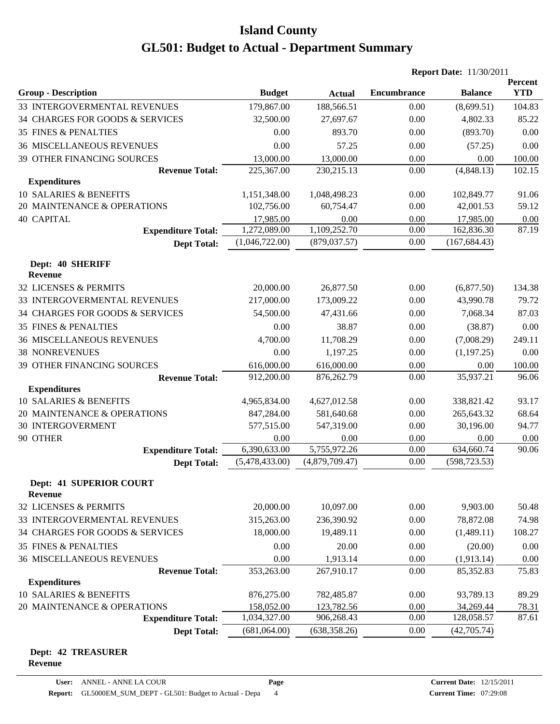|                                                  |                |                | <b>Report Date: 11/30/2011</b> |                |                       |
|--------------------------------------------------|----------------|----------------|--------------------------------|----------------|-----------------------|
| <b>Group - Description</b>                       | <b>Budget</b>  | <b>Actual</b>  | <b>Encumbrance</b>             | <b>Balance</b> | Percent<br><b>YTD</b> |
| 33 INTERGOVERMENTAL REVENUES                     | 179,867.00     | 188,566.51     | 0.00                           | (8,699.51)     | 104.83                |
| 34 CHARGES FOR GOODS & SERVICES                  | 32,500.00      | 27,697.67      | 0.00                           | 4,802.33       | 85.22                 |
| 35 FINES & PENALTIES                             | 0.00           | 893.70         | 0.00                           | (893.70)       | 0.00                  |
| <b>36 MISCELLANEOUS REVENUES</b>                 | 0.00           | 57.25          | 0.00                           | (57.25)        | 0.00                  |
| <b>39 OTHER FINANCING SOURCES</b>                | 13,000.00      | 13,000.00      | 0.00                           | 0.00           | 100.00                |
| <b>Revenue Total:</b>                            | 225,367.00     | 230, 215.13    | 0.00                           | (4,848.13)     | 102.15                |
| <b>Expenditures</b>                              |                |                |                                |                |                       |
| 10 SALARIES & BENEFITS                           | 1,151,348.00   | 1,048,498.23   | 0.00                           | 102,849.77     | 91.06                 |
| 20 MAINTENANCE & OPERATIONS                      | 102,756.00     | 60,754.47      | 0.00                           | 42,001.53      | 59.12                 |
| <b>40 CAPITAL</b>                                | 17,985.00      | 0.00           | 0.00                           | 17,985.00      | 0.00                  |
| <b>Expenditure Total:</b>                        | 1,272,089.00   | 1,109,252.70   | 0.00                           | 162,836.30     | 87.19                 |
| <b>Dept Total:</b>                               | (1,046,722.00) | (879, 037.57)  | 0.00                           | (167, 684.43)  |                       |
| Dept: 40 SHERIFF<br><b>Revenue</b>               |                |                |                                |                |                       |
| 32 LICENSES & PERMITS                            | 20,000.00      | 26,877.50      | 0.00                           | (6,877.50)     | 134.38                |
| 33 INTERGOVERMENTAL REVENUES                     | 217,000.00     | 173,009.22     | 0.00                           | 43,990.78      | 79.72                 |
| 34 CHARGES FOR GOODS & SERVICES                  | 54,500.00      | 47,431.66      | 0.00                           | 7,068.34       | 87.03                 |
| <b>35 FINES &amp; PENALTIES</b>                  | 0.00           | 38.87          | 0.00                           | (38.87)        | 0.00                  |
| <b>36 MISCELLANEOUS REVENUES</b>                 | 4,700.00       | 11,708.29      | 0.00                           | (7,008.29)     | 249.11                |
| <b>38 NONREVENUES</b>                            | 0.00           | 1,197.25       | 0.00                           | (1,197.25)     | 0.00                  |
| 39 OTHER FINANCING SOURCES                       | 616,000.00     | 616,000.00     | 0.00                           | 0.00           | 100.00                |
| <b>Revenue Total:</b>                            | 912,200.00     | 876,262.79     | 0.00                           | 35,937.21      | 96.06                 |
| <b>Expenditures</b>                              |                |                |                                |                |                       |
| <b>10 SALARIES &amp; BENEFITS</b>                | 4,965,834.00   | 4,627,012.58   | 0.00                           | 338,821.42     | 93.17                 |
| 20 MAINTENANCE & OPERATIONS                      | 847,284.00     | 581,640.68     | 0.00                           | 265, 643. 32   | 68.64                 |
| <b>30 INTERGOVERMENT</b>                         | 577,515.00     | 547,319.00     | 0.00                           | 30,196.00      | 94.77                 |
| 90 OTHER                                         | 0.00           | 0.00           | 0.00                           | 0.00           | 0.00                  |
| <b>Expenditure Total:</b>                        | 6,390,633.00   | 5,755,972.26   | 0.00                           | 634,660.74     | 90.06                 |
| <b>Dept Total:</b>                               | (5,478,433.00) | (4,879,709.47) | 0.00                           | (598, 723.53)  |                       |
| <b>Dept: 41 SUPERIOR COURT</b><br><b>Revenue</b> |                |                |                                |                |                       |
| 32 LICENSES & PERMITS                            | 20,000.00      | 10,097.00      | 0.00                           | 9,903.00       | 50.48                 |
| 33 INTERGOVERMENTAL REVENUES                     | 315,263.00     | 236,390.92     | 0.00                           | 78,872.08      | 74.98                 |
| 34 CHARGES FOR GOODS & SERVICES                  | 18,000.00      | 19,489.11      | 0.00                           | (1,489.11)     | 108.27                |
| <b>35 FINES &amp; PENALTIES</b>                  | 0.00           | 20.00          | 0.00                           | (20.00)        | 0.00                  |
| <b>36 MISCELLANEOUS REVENUES</b>                 | 0.00           | 1,913.14       | 0.00                           | (1, 913.14)    | 0.00                  |
| <b>Revenue Total:</b>                            | 353,263.00     | 267,910.17     | 0.00                           | 85,352.83      | 75.83                 |
| <b>Expenditures</b>                              |                |                |                                |                |                       |
| <b>10 SALARIES &amp; BENEFITS</b>                | 876,275.00     | 782,485.87     | 0.00                           | 93,789.13      | 89.29                 |
| 20 MAINTENANCE & OPERATIONS                      | 158,052.00     | 123,782.56     | 0.00                           | 34,269.44      | 78.31                 |
| <b>Expenditure Total:</b>                        | 1,034,327.00   | 906,268.43     | 0.00                           | 128,058.57     | 87.61                 |
| <b>Dept Total:</b>                               | (681,064.00)   | (638, 358.26)  | 0.00                           | (42,705.74)    |                       |

#### **Dept: 42 TREASURER Revenue**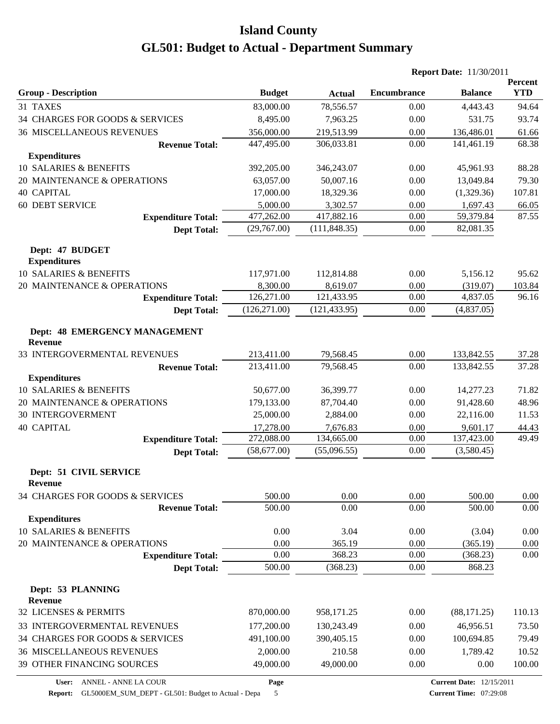|                                                 |               |               | <b>Report Date: 11/30/2011</b> |                |                       |
|-------------------------------------------------|---------------|---------------|--------------------------------|----------------|-----------------------|
| <b>Group - Description</b>                      | <b>Budget</b> | <b>Actual</b> | <b>Encumbrance</b>             | <b>Balance</b> | Percent<br><b>YTD</b> |
| 31 TAXES                                        | 83,000.00     | 78,556.57     | 0.00                           | 4,443.43       | 94.64                 |
| 34 CHARGES FOR GOODS & SERVICES                 | 8,495.00      | 7,963.25      | 0.00                           | 531.75         | 93.74                 |
| <b>36 MISCELLANEOUS REVENUES</b>                | 356,000.00    | 219,513.99    | 0.00                           | 136,486.01     | 61.66                 |
| <b>Revenue Total:</b>                           | 447,495.00    | 306,033.81    | 0.00                           | 141,461.19     | 68.38                 |
| <b>Expenditures</b>                             |               |               |                                |                |                       |
| 10 SALARIES & BENEFITS                          | 392,205.00    | 346,243.07    | 0.00                           | 45,961.93      | 88.28                 |
| 20 MAINTENANCE & OPERATIONS                     | 63,057.00     | 50,007.16     | 0.00                           | 13,049.84      | 79.30                 |
| <b>40 CAPITAL</b>                               | 17,000.00     | 18,329.36     | 0.00                           | (1,329.36)     | 107.81                |
| <b>60 DEBT SERVICE</b>                          | 5,000.00      | 3,302.57      | 0.00                           | 1,697.43       | 66.05                 |
| <b>Expenditure Total:</b>                       | 477,262.00    | 417,882.16    | 0.00                           | 59,379.84      | 87.55                 |
| <b>Dept Total:</b>                              | (29,767.00)   | (111, 848.35) | 0.00                           | 82,081.35      |                       |
| Dept: 47 BUDGET<br><b>Expenditures</b>          |               |               |                                |                |                       |
| 10 SALARIES & BENEFITS                          | 117,971.00    | 112,814.88    | 0.00                           | 5,156.12       | 95.62                 |
| 20 MAINTENANCE & OPERATIONS                     | 8,300.00      | 8,619.07      | 0.00                           | (319.07)       | 103.84                |
| <b>Expenditure Total:</b>                       | 126,271.00    | 121,433.95    | 0.00                           | 4,837.05       | 96.16                 |
| <b>Dept Total:</b>                              | (126, 271.00) | (121, 433.95) | 0.00                           | (4,837.05)     |                       |
| Dept: 48 EMERGENCY MANAGEMENT<br><b>Revenue</b> |               |               |                                |                |                       |
| 33 INTERGOVERMENTAL REVENUES                    | 213,411.00    | 79,568.45     | 0.00                           | 133,842.55     | 37.28                 |
| <b>Revenue Total:</b>                           | 213,411.00    | 79,568.45     | 0.00                           | 133,842.55     | 37.28                 |
| <b>Expenditures</b>                             |               |               |                                |                |                       |
| 10 SALARIES & BENEFITS                          | 50,677.00     | 36,399.77     | 0.00                           | 14,277.23      | 71.82                 |
| 20 MAINTENANCE & OPERATIONS                     | 179,133.00    | 87,704.40     | 0.00                           | 91,428.60      | 48.96                 |
| <b>30 INTERGOVERMENT</b>                        | 25,000.00     | 2,884.00      | 0.00                           | 22,116.00      | 11.53                 |
| <b>40 CAPITAL</b>                               | 17,278.00     | 7,676.83      | 0.00                           | 9,601.17       | 44.43                 |
| <b>Expenditure Total:</b>                       | 272,088.00    | 134,665.00    | 0.00                           | 137,423.00     | 49.49                 |
| <b>Dept Total:</b>                              | (58,677.00)   | (55,096.55)   | 0.00                           | (3,580.45)     |                       |
| Dept: 51 CIVIL SERVICE<br>Revenue               |               |               |                                |                |                       |
| 34 CHARGES FOR GOODS & SERVICES                 | 500.00        | 0.00          | 0.00                           | 500.00         | $0.00\,$              |
| <b>Revenue Total:</b><br><b>Expenditures</b>    | 500.00        | 0.00          | 0.00                           | 500.00         | 0.00                  |
| 10 SALARIES & BENEFITS                          | 0.00          | 3.04          | 0.00                           | (3.04)         | 0.00                  |
| 20 MAINTENANCE & OPERATIONS                     | 0.00          | 365.19        | 0.00                           | (365.19)       | 0.00                  |
| <b>Expenditure Total:</b>                       | 0.00          | 368.23        | 0.00                           | (368.23)       | 0.00                  |
| <b>Dept Total:</b>                              | 500.00        | (368.23)      | 0.00                           | 868.23         |                       |
| Dept: 53 PLANNING<br><b>Revenue</b>             |               |               |                                |                |                       |
| 32 LICENSES & PERMITS                           | 870,000.00    | 958,171.25    | 0.00                           | (88, 171.25)   | 110.13                |
| 33 INTERGOVERMENTAL REVENUES                    | 177,200.00    | 130,243.49    | 0.00                           | 46,956.51      | 73.50                 |
| 34 CHARGES FOR GOODS & SERVICES                 | 491,100.00    | 390,405.15    | 0.00                           | 100,694.85     | 79.49                 |
| <b>36 MISCELLANEOUS REVENUES</b>                | 2,000.00      | 210.58        | 0.00                           | 1,789.42       | 10.52                 |
| 39 OTHER FINANCING SOURCES                      | 49,000.00     | 49,000.00     | 0.00                           | 0.00           | 100.00                |
|                                                 |               |               |                                |                |                       |

**Page**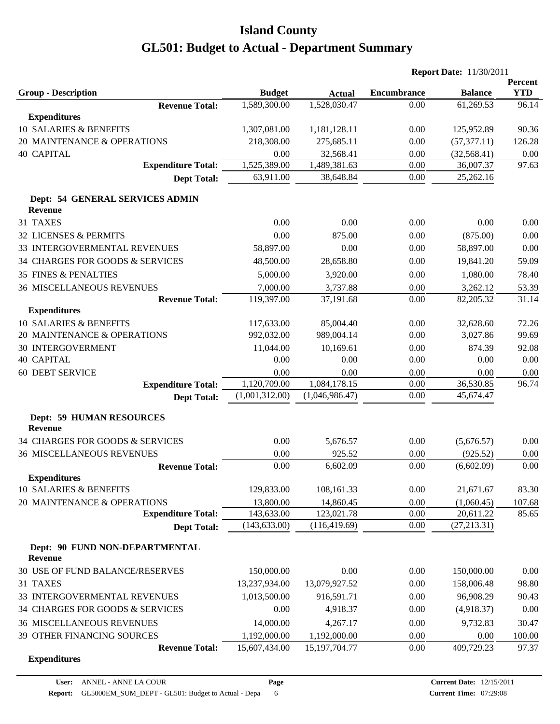|                                                   |                |                  | <b>Report Date: 11/30/2011</b> |                |                       |
|---------------------------------------------------|----------------|------------------|--------------------------------|----------------|-----------------------|
| <b>Group - Description</b>                        | <b>Budget</b>  | <b>Actual</b>    | <b>Encumbrance</b>             | <b>Balance</b> | Percent<br><b>YTD</b> |
| <b>Revenue Total:</b>                             | 1,589,300.00   | 1,528,030.47     | 0.00                           | 61,269.53      | 96.14                 |
| <b>Expenditures</b>                               |                |                  |                                |                |                       |
| 10 SALARIES & BENEFITS                            | 1,307,081.00   | 1,181,128.11     | 0.00                           | 125,952.89     | 90.36                 |
| 20 MAINTENANCE & OPERATIONS                       | 218,308.00     | 275,685.11       | 0.00                           | (57, 377.11)   | 126.28                |
| <b>40 CAPITAL</b>                                 | 0.00           | 32,568.41        | 0.00                           | (32, 568.41)   | 0.00                  |
| <b>Expenditure Total:</b>                         | 1,525,389.00   | 1,489,381.63     | 0.00                           | 36,007.37      | 97.63                 |
| <b>Dept Total:</b>                                | 63,911.00      | 38,648.84        | 0.00                           | 25,262.16      |                       |
| Dept: 54 GENERAL SERVICES ADMIN<br><b>Revenue</b> |                |                  |                                |                |                       |
| 31 TAXES                                          | 0.00           | 0.00             | 0.00                           | 0.00           | 0.00                  |
| 32 LICENSES & PERMITS                             | 0.00           | 875.00           | 0.00                           | (875.00)       | 0.00                  |
| 33 INTERGOVERMENTAL REVENUES                      | 58,897.00      | 0.00             | 0.00                           | 58,897.00      | 0.00                  |
| 34 CHARGES FOR GOODS & SERVICES                   |                |                  | 0.00                           |                | 59.09                 |
|                                                   | 48,500.00      | 28,658.80        |                                | 19,841.20      |                       |
| <b>35 FINES &amp; PENALTIES</b>                   | 5,000.00       | 3,920.00         | 0.00                           | 1,080.00       | 78.40                 |
| <b>36 MISCELLANEOUS REVENUES</b>                  | 7,000.00       | 3,737.88         | 0.00                           | 3,262.12       | 53.39                 |
| <b>Revenue Total:</b><br><b>Expenditures</b>      | 119,397.00     | 37,191.68        | 0.00                           | 82,205.32      | 31.14                 |
| 10 SALARIES & BENEFITS                            | 117,633.00     | 85,004.40        | 0.00                           | 32,628.60      | 72.26                 |
| 20 MAINTENANCE & OPERATIONS                       | 992,032.00     | 989,004.14       | 0.00                           | 3,027.86       | 99.69                 |
| <b>30 INTERGOVERMENT</b>                          | 11,044.00      | 10,169.61        | 0.00                           | 874.39         | 92.08                 |
| <b>40 CAPITAL</b>                                 | 0.00           | 0.00             | 0.00                           | 0.00           | 0.00                  |
| <b>60 DEBT SERVICE</b>                            | 0.00           | 0.00             | 0.00                           | 0.00           |                       |
| <b>Expenditure Total:</b>                         | 1,120,709.00   | 1,084,178.15     | 0.00                           | 36,530.85      | 0.00<br>96.74         |
| <b>Dept Total:</b>                                | (1,001,312.00) | (1,046,986.47)   | 0.00                           | 45,674.47      |                       |
|                                                   |                |                  |                                |                |                       |
| <b>Dept: 59 HUMAN RESOURCES</b><br><b>Revenue</b> |                |                  |                                |                |                       |
| 34 CHARGES FOR GOODS & SERVICES                   | 0.00           | 5,676.57         | 0.00                           | (5,676.57)     | 0.00                  |
| <b>36 MISCELLANEOUS REVENUES</b>                  | 0.00           | 925.52           | 0.00                           | (925.52)       | 0.00                  |
| <b>Revenue Total:</b>                             | 0.00           | 6,602.09         | 0.00                           | (6,602.09)     | 0.00                  |
| <b>Expenditures</b>                               |                |                  |                                |                |                       |
| 10 SALARIES & BENEFITS                            | 129,833.00     | 108,161.33       | 0.00                           | 21,671.67      | 83.30                 |
| 20 MAINTENANCE & OPERATIONS                       | 13,800.00      | 14,860.45        | 0.00                           | (1,060.45)     | 107.68                |
| <b>Expenditure Total:</b>                         | 143,633.00     | 123,021.78       | 0.00                           | 20,611.22      | 85.65                 |
| <b>Dept Total:</b>                                | (143, 633.00)  | (116, 419.69)    | 0.00                           | (27, 213.31)   |                       |
| Dept: 90 FUND NON-DEPARTMENTAL<br><b>Revenue</b>  |                |                  |                                |                |                       |
| 30 USE OF FUND BALANCE/RESERVES                   | 150,000.00     | 0.00             | 0.00                           | 150,000.00     | 0.00                  |
| 31 TAXES                                          | 13,237,934.00  | 13,079,927.52    | 0.00                           | 158,006.48     | 98.80                 |
| 33 INTERGOVERMENTAL REVENUES                      | 1,013,500.00   | 916,591.71       | 0.00                           | 96,908.29      | 90.43                 |
| 34 CHARGES FOR GOODS & SERVICES                   | 0.00           | 4,918.37         | 0.00                           | (4,918.37)     | 0.00                  |
| <b>36 MISCELLANEOUS REVENUES</b>                  | 14,000.00      | 4,267.17         | 0.00                           | 9,732.83       | 30.47                 |
| 39 OTHER FINANCING SOURCES                        | 1,192,000.00   | 1,192,000.00     | 0.00                           | 0.00           | 100.00                |
| <b>Revenue Total:</b>                             | 15,607,434.00  | 15, 197, 704. 77 | 0.00                           | 409,729.23     | 97.37                 |
| <b>Expenditures</b>                               |                |                  |                                |                |                       |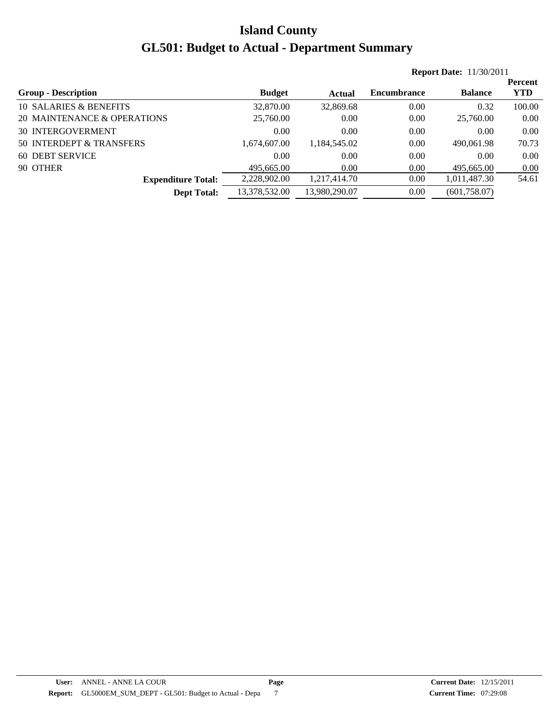|                             |               |               |             | <b>Report Date: 11/30/2011</b> |            |  |  |  |
|-----------------------------|---------------|---------------|-------------|--------------------------------|------------|--|--|--|
|                             |               |               |             |                                | Percent    |  |  |  |
| <b>Group - Description</b>  | <b>Budget</b> | Actual        | Encumbrance | <b>Balance</b>                 | <b>YTD</b> |  |  |  |
| 10 SALARIES & BENEFITS      | 32,870.00     | 32,869.68     | 0.00        | 0.32                           | 100.00     |  |  |  |
| 20 MAINTENANCE & OPERATIONS | 25,760.00     | 0.00          | 0.00        | 25,760.00                      | 0.00       |  |  |  |
| <b>30 INTERGOVERMENT</b>    | 0.00          | 0.00          | 0.00        | 0.00                           | 0.00       |  |  |  |
| 50 INTERDEPT & TRANSFERS    | 1.674.607.00  | 1.184.545.02  | 0.00        | 490,061.98                     | 70.73      |  |  |  |
| 60 DEBT SERVICE             | 0.00          | 0.00          | 0.00        | 0.00                           | 0.00       |  |  |  |
| 90 OTHER                    | 495,665.00    | 0.00          | 0.00        | 495,665.00                     | 0.00       |  |  |  |
| <b>Expenditure Total:</b>   | 2,228,902.00  | 1,217,414.70  | 0.00        | 1,011,487.30                   | 54.61      |  |  |  |
| <b>Dept Total:</b>          | 13,378,532.00 | 13,980,290.07 | 0.00        | (601, 758.07)                  |            |  |  |  |
|                             |               |               |             |                                |            |  |  |  |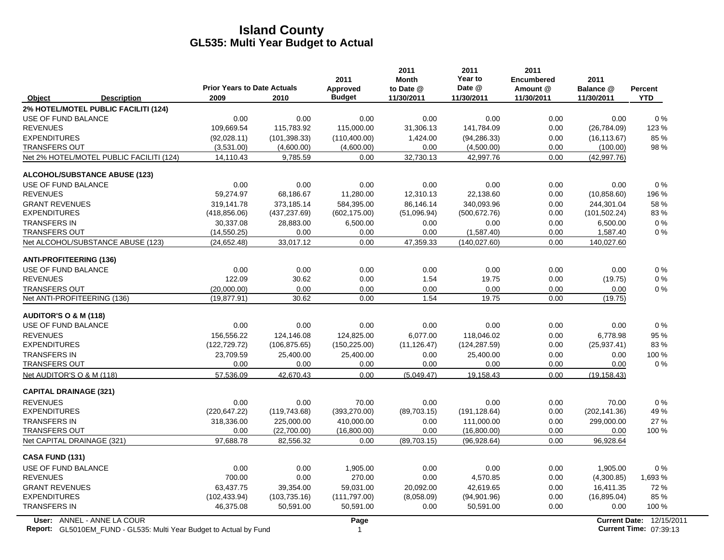|                                                                                                  | <b>Prior Years to Date Actuals</b> |               | 2011<br><b>Approved</b> | 2011<br><b>Month</b><br>to Date @ | 2011<br>Year to<br>Date @ | 2011<br><b>Encumbered</b><br>Amount @ | 2011<br>Balance @ | Percent                                                   |
|--------------------------------------------------------------------------------------------------|------------------------------------|---------------|-------------------------|-----------------------------------|---------------------------|---------------------------------------|-------------------|-----------------------------------------------------------|
| Object<br><b>Description</b>                                                                     | 2009                               | 2010          | <b>Budget</b>           | 11/30/2011                        | 11/30/2011                | 11/30/2011                            | 11/30/2011        | <b>YTD</b>                                                |
| 2% HOTEL/MOTEL PUBLIC FACILITI (124)                                                             |                                    |               |                         |                                   |                           |                                       |                   |                                                           |
| USE OF FUND BALANCE                                                                              | 0.00                               | 0.00          | 0.00                    | 0.00                              | 0.00                      | 0.00                                  | 0.00              | $0\%$                                                     |
| <b>REVENUES</b>                                                                                  | 109,669.54                         | 115,783.92    | 115,000.00              | 31,306.13                         | 141,784.09                | 0.00                                  | (26, 784.09)      | 123 %                                                     |
| <b>EXPENDITURES</b>                                                                              | (92,028.11)                        | (101, 398.33) | (110, 400.00)           | 1,424.00                          | (94, 286.33)              | 0.00                                  | (16, 113.67)      | 85 %                                                      |
| <b>TRANSFERS OUT</b>                                                                             | (3,531.00)                         | (4,600.00)    | (4,600.00)              | 0.00                              | (4,500.00)                | 0.00                                  | (100.00)          | 98 %                                                      |
| Net 2% HOTEL/MOTEL PUBLIC FACILITI (124)                                                         | 14,110.43                          | 9.785.59      | 0.00                    | 32,730.13                         | 42.997.76                 | 0.00                                  | (42, 997.76)      |                                                           |
| <b>ALCOHOL/SUBSTANCE ABUSE (123)</b>                                                             |                                    |               |                         |                                   |                           |                                       |                   |                                                           |
| USE OF FUND BALANCE                                                                              | 0.00                               | 0.00          | 0.00                    | 0.00                              | 0.00                      | 0.00                                  | 0.00              | $0\%$                                                     |
| <b>REVENUES</b>                                                                                  | 59,274.97                          | 68,186.67     | 11,280.00               | 12,310.13                         | 22,138.60                 | 0.00                                  | (10, 858.60)      | 196 %                                                     |
| <b>GRANT REVENUES</b>                                                                            | 319,141.78                         | 373,185.14    | 584,395.00              | 86,146.14                         | 340,093.96                | 0.00                                  | 244,301.04        | 58 %                                                      |
| <b>EXPENDITURES</b>                                                                              | (418, 856.06)                      | (437, 237.69) | (602, 175.00)           | (51,096.94)                       | (500, 672.76)             | 0.00                                  | (101, 502.24)     | 83%                                                       |
| <b>TRANSFERS IN</b>                                                                              | 30,337.08                          | 28,883.00     | 6,500.00                | 0.00                              | 0.00                      | 0.00                                  | 6,500.00          | $0\%$                                                     |
| <b>TRANSFERS OUT</b>                                                                             | (14, 550.25)                       | 0.00          | 0.00                    | 0.00                              | (1,587.40)                | 0.00                                  | 1,587.40          | $0\%$                                                     |
| Net ALCOHOL/SUBSTANCE ABUSE (123)                                                                | (24, 652.48)                       | 33,017.12     | 0.00                    | 47,359.33                         | (140.027.60)              | 0.00                                  | 140,027.60        |                                                           |
| <b>ANTI-PROFITEERING (136)</b>                                                                   |                                    |               |                         |                                   |                           |                                       |                   |                                                           |
| USE OF FUND BALANCE                                                                              | 0.00                               | 0.00          | 0.00                    | 0.00                              | 0.00                      | 0.00                                  | 0.00              | $0\%$                                                     |
| <b>REVENUES</b>                                                                                  | 122.09                             | 30.62         | 0.00                    | 1.54                              | 19.75                     | 0.00                                  | (19.75)           | $0\%$                                                     |
| <b>TRANSFERS OUT</b>                                                                             | (20,000.00)                        | 0.00          | 0.00                    | 0.00                              | 0.00                      | 0.00                                  | 0.00              | $0\%$                                                     |
| Net ANTI-PROFITEERING (136)                                                                      | (19, 877.91)                       | 30.62         | 0.00                    | 1.54                              | 19.75                     | 0.00                                  | (19.75)           |                                                           |
| <b>AUDITOR'S O &amp; M (118)</b>                                                                 |                                    |               |                         |                                   |                           |                                       |                   |                                                           |
| USE OF FUND BALANCE                                                                              | 0.00                               | 0.00          | 0.00                    | 0.00                              | 0.00                      | 0.00                                  | 0.00              | 0%                                                        |
| <b>REVENUES</b>                                                                                  | 156,556.22                         | 124,146.08    | 124,825.00              | 6,077.00                          | 118,046.02                | 0.00                                  | 6,778.98          | 95 %                                                      |
| <b>EXPENDITURES</b>                                                                              | (122, 729.72)                      | (106, 875.65) | (150, 225.00)           | (11, 126.47)                      | (124, 287.59)             | 0.00                                  | (25, 937.41)      | 83%                                                       |
| <b>TRANSFERS IN</b>                                                                              | 23,709.59                          | 25,400.00     | 25,400.00               | 0.00                              | 25,400.00                 | 0.00                                  | 0.00              | 100 %                                                     |
| <b>TRANSFERS OUT</b>                                                                             | 0.00                               | 0.00          | 0.00                    | 0.00                              | 0.00                      | 0.00                                  | 0.00              | $0\%$                                                     |
| Net AUDITOR'S O & M (118)                                                                        | 57,536.09                          | 42,670.43     | 0.00                    | (5,049.47)                        | 19,158.43                 | 0.00                                  | (19, 158.43)      |                                                           |
| <b>CAPITAL DRAINAGE (321)</b>                                                                    |                                    |               |                         |                                   |                           |                                       |                   |                                                           |
| <b>REVENUES</b>                                                                                  | 0.00                               | 0.00          | 70.00                   | 0.00                              | 0.00                      | 0.00                                  | 70.00             | 0%                                                        |
| <b>EXPENDITURES</b>                                                                              | (220, 647.22)                      | (119, 743.68) | (393, 270.00)           | (89,703.15)                       | (191, 128.64)             | 0.00                                  | (202, 141.36)     | 49 %                                                      |
| <b>TRANSFERS IN</b>                                                                              | 318,336.00                         | 225,000.00    | 410,000.00              | 0.00                              | 111,000.00                | 0.00                                  | 299,000.00        | 27 %                                                      |
| <b>TRANSFERS OUT</b>                                                                             | 0.00                               | (22,700.00)   | (16,800.00)             | 0.00                              | (16,800.00)               | 0.00                                  | 0.00              | 100 %                                                     |
| Net CAPITAL DRAINAGE (321)                                                                       | 97,688.78                          | 82,556.32     | 0.00                    | (89,703.15)                       | (96, 928.64)              | 0.00                                  | 96,928.64         |                                                           |
| <b>CASA FUND (131)</b>                                                                           |                                    |               |                         |                                   |                           |                                       |                   |                                                           |
| USE OF FUND BALANCE                                                                              | 0.00                               | 0.00          | 1,905.00                | 0.00                              | 0.00                      | 0.00                                  | 1,905.00          | $0\%$                                                     |
| <b>REVENUES</b>                                                                                  | 700.00                             | 0.00          | 270.00                  | 0.00                              | 4,570.85                  | 0.00                                  | (4,300.85)        | 1,693 %                                                   |
| <b>GRANT REVENUES</b>                                                                            | 63,437.75                          | 39,354.00     | 59,031.00               | 20,092.00                         | 42,619.65                 | 0.00                                  | 16,411.35         | 72 %                                                      |
| <b>EXPENDITURES</b>                                                                              | (102, 433.94)                      | (103, 735.16) | (111, 797.00)           | (8,058.09)                        | (94,901.96)               | 0.00                                  | (16, 895.04)      | 85 %                                                      |
| <b>TRANSFERS IN</b>                                                                              | 46,375.08                          | 50,591.00     | 50,591.00               | 0.00                              | 50,591.00                 | 0.00                                  | 0.00              | 100 %                                                     |
| User: ANNEL - ANNE LA COUR<br>Report: GL5010EM_FUND - GL535: Multi Year Budget to Actual by Fund |                                    |               | Page<br>$\mathbf{1}$    |                                   |                           |                                       |                   | <b>Current Date: 12/15/2011</b><br>Current Time: 07:39:13 |

**Report:** GL5010EM\_FUND - GL535: Multi Year Budget to Actual by Fund 07:39:13 Actual 1 **Current Time:** 07:39:13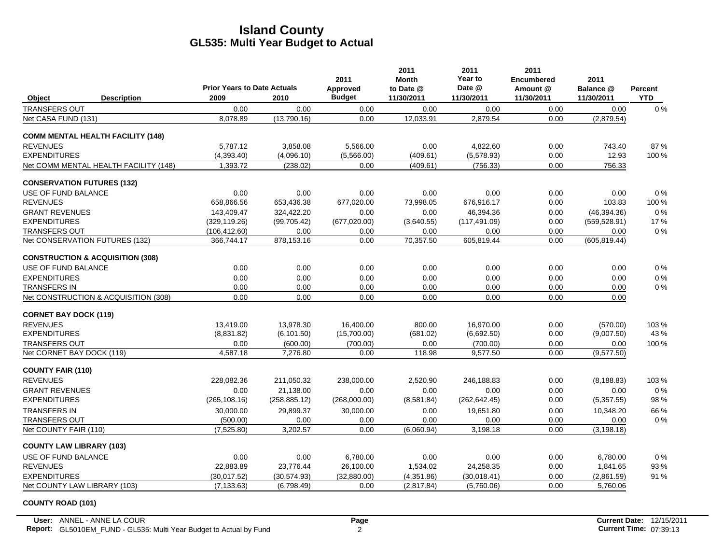|                                             | <b>Prior Years to Date Actuals</b> |               | 2011<br>Approved | 2011<br>Month<br>to Date @ | 2011<br>Year to<br>Date @ | 2011<br><b>Encumbered</b><br>Amount @ | 2011<br>Balance @ | <b>Percent</b> |
|---------------------------------------------|------------------------------------|---------------|------------------|----------------------------|---------------------------|---------------------------------------|-------------------|----------------|
| <b>Description</b><br>Object                | 2009                               | 2010          | <b>Budget</b>    | 11/30/2011                 | 11/30/2011                | 11/30/2011                            | 11/30/2011        | <b>YTD</b>     |
| <b>TRANSFERS OUT</b>                        | 0.00                               | 0.00          | 0.00             | 0.00                       | 0.00                      | 0.00                                  | 0.00              | 0%             |
| Net CASA FUND (131)                         | 8,078.89                           | (13,790.16)   | 0.00             | 12,033.91                  | 2,879.54                  | 0.00                                  | (2,879.54)        |                |
| <b>COMM MENTAL HEALTH FACILITY (148)</b>    |                                    |               |                  |                            |                           |                                       |                   |                |
| <b>REVENUES</b>                             | 5,787.12                           | 3,858.08      | 5,566.00         | 0.00                       | 4,822.60                  | 0.00                                  | 743.40            | 87%            |
| <b>EXPENDITURES</b>                         | (4,393.40)                         | (4,096.10)    | (5,566.00)       | (409.61)                   | (5,578.93)                | 0.00                                  | 12.93             | 100 %          |
| Net COMM MENTAL HEALTH FACILITY (148)       | 1,393.72                           | (238.02)      | 0.00             | (409.61)                   | (756.33)                  | 0.00                                  | 756.33            |                |
| <b>CONSERVATION FUTURES (132)</b>           |                                    |               |                  |                            |                           |                                       |                   |                |
| USE OF FUND BALANCE                         | 0.00                               | 0.00          | 0.00             | 0.00                       | 0.00                      | 0.00                                  | 0.00              | 0%             |
| <b>REVENUES</b>                             | 658,866.56                         | 653,436.38    | 677,020.00       | 73,998.05                  | 676,916.17                | 0.00                                  | 103.83            | 100 %          |
| <b>GRANT REVENUES</b>                       | 143,409.47                         | 324,422.20    | 0.00             | 0.00                       | 46,394.36                 | 0.00                                  | (46, 394.36)      | 0%             |
| <b>EXPENDITURES</b>                         | (329, 119.26)                      | (99,705.42)   | (677, 020.00)    | (3,640.55)                 | (117, 491.09)             | 0.00                                  | (559, 528.91)     | 17%            |
| <b>TRANSFERS OUT</b>                        | (106, 412.60)                      | 0.00          | 0.00             | 0.00                       | 0.00                      | 0.00                                  | 0.00              | 0%             |
| Net CONSERVATION FUTURES (132)              | 366,744.17                         | 878,153.16    | 0.00             | 70,357.50                  | 605,819.44                | 0.00                                  | (605, 819.44)     |                |
| <b>CONSTRUCTION &amp; ACQUISITION (308)</b> |                                    |               |                  |                            |                           |                                       |                   |                |
| USE OF FUND BALANCE                         | 0.00                               | 0.00          | 0.00             | 0.00                       | 0.00                      | 0.00                                  | 0.00              | 0%             |
| <b>EXPENDITURES</b>                         | 0.00                               | 0.00          | 0.00             | 0.00                       | 0.00                      | 0.00                                  | 0.00              | 0%             |
| <b>TRANSFERS IN</b>                         | 0.00                               | 0.00          | 0.00             | 0.00                       | 0.00                      | 0.00                                  | 0.00              | $0\%$          |
| Net CONSTRUCTION & ACQUISITION (308)        | 0.00                               | 0.00          | 0.00             | 0.00                       | 0.00                      | 0.00                                  | 0.00              |                |
| <b>CORNET BAY DOCK (119)</b>                |                                    |               |                  |                            |                           |                                       |                   |                |
| <b>REVENUES</b>                             | 13,419.00                          | 13,978.30     | 16,400.00        | 800.00                     | 16,970.00                 | 0.00                                  | (570.00)          | 103 %          |
| <b>EXPENDITURES</b>                         | (8,831.82)                         | (6, 101.50)   | (15,700.00)      | (681.02)                   | (6,692.50)                | 0.00                                  | (9,007.50)        | 43 %           |
| <b>TRANSFERS OUT</b>                        | 0.00                               | (600.00)      | (700.00)         | 0.00                       | (700.00)                  | 0.00                                  | 0.00              | 100 %          |
| Net CORNET BAY DOCK (119)                   | 4,587.18                           | 7,276.80      | 0.00             | 118.98                     | 9,577.50                  | 0.00                                  | (9,577.50)        |                |
| <b>COUNTY FAIR (110)</b>                    |                                    |               |                  |                            |                           |                                       |                   |                |
| <b>REVENUES</b>                             | 228.082.36                         | 211,050.32    | 238,000.00       | 2,520.90                   | 246.188.83                | 0.00                                  | (8, 188.83)       | 103%           |
| <b>GRANT REVENUES</b>                       | 0.00                               | 21,138.00     | 0.00             | 0.00                       | 0.00                      | 0.00                                  | 0.00              | 0%             |
| <b>EXPENDITURES</b>                         | (265, 108.16)                      | (258, 885.12) | (268,000.00)     | (8,581.84)                 | (262, 642.45)             | 0.00                                  | (5,357.55)        | 98 %           |
| <b>TRANSFERS IN</b>                         | 30,000.00                          | 29,899.37     | 30,000.00        | 0.00                       | 19,651.80                 | 0.00                                  | 10,348.20         | 66 %           |
| <b>TRANSFERS OUT</b>                        | (500.00)                           | 0.00          | 0.00             | 0.00                       | 0.00                      | 0.00                                  | 0.00              | 0%             |
| Net COUNTY FAIR (110)                       | (7,525.80)                         | 3,202.57      | 0.00             | (6,060.94)                 | 3.198.18                  | 0.00                                  | (3, 198.18)       |                |
| <b>COUNTY LAW LIBRARY (103)</b>             |                                    |               |                  |                            |                           |                                       |                   |                |
| USE OF FUND BALANCE                         | 0.00                               | 0.00          | 6,780.00         | 0.00                       | 0.00                      | 0.00                                  | 6,780.00          | 0%             |
| <b>REVENUES</b>                             | 22,883.89                          | 23,776.44     | 26,100.00        | 1,534.02                   | 24,258.35                 | 0.00                                  | 1,841.65          | 93%            |
| <b>EXPENDITURES</b>                         | (30,017.52)                        | (30, 574.93)  | (32.880.00)      | (4,351.86)                 | (30,018.41)               | 0.00                                  | (2,861.59)        | 91 %           |
| Net COUNTY LAW LIBRARY (103)                | (7, 133.63)                        | (6,798.49)    | 0.00             | (2,817.84)                 | (5,760.06)                | 0.00                                  | 5,760.06          |                |

#### **COUNTY ROAD (101)**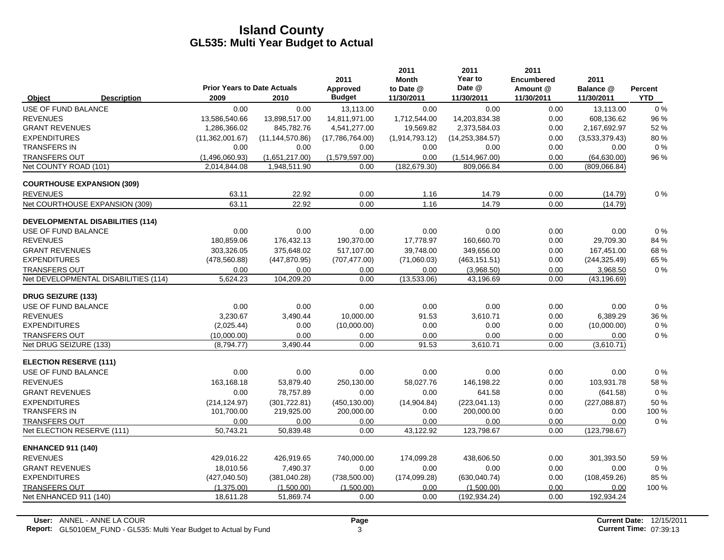|                               |                                         | <b>Prior Years to Date Actuals</b> |                   | 2011<br>Approved | 2011<br><b>Month</b><br>to Date @ | 2011<br>Year to<br>Date @ | 2011<br><b>Encumbered</b><br>Amount @ | 2011<br>Balance @ | Percent    |
|-------------------------------|-----------------------------------------|------------------------------------|-------------------|------------------|-----------------------------------|---------------------------|---------------------------------------|-------------------|------------|
| Object                        | <b>Description</b>                      | 2009                               | 2010              | <b>Budget</b>    | 11/30/2011                        | 11/30/2011                | 11/30/2011                            | 11/30/2011        | <b>YTD</b> |
| USE OF FUND BALANCE           |                                         | 0.00                               | 0.00              | 13,113.00        | 0.00                              | 0.00                      | 0.00                                  | 13,113.00         | $0\%$      |
| <b>REVENUES</b>               |                                         | 13,586,540.66                      | 13,898,517.00     | 14,811,971.00    | 1,712,544.00                      | 14,203,834.38             | 0.00                                  | 608,136.62        | 96 %       |
| <b>GRANT REVENUES</b>         |                                         | 1,286,366.02                       | 845,782.76        | 4,541,277.00     | 19,569.82                         | 2,373,584.03              | 0.00                                  | 2,167,692.97      | 52 %       |
| <b>EXPENDITURES</b>           |                                         | (11,362,001.67)                    | (11, 144, 570.86) | (17,786,764.00)  | (1,914,793.12)                    | (14, 253, 384.57)         | 0.00                                  | (3,533,379.43)    | 80%        |
| <b>TRANSFERS IN</b>           |                                         | 0.00                               | 0.00              | 0.00             | 0.00                              | 0.00                      | 0.00                                  | 0.00              | $0\%$      |
| <b>TRANSFERS OUT</b>          |                                         | (1,496,060.93)                     | (1,651,217.00)    | (1,579,597.00)   | 0.00                              | (1,514,967.00)            | 0.00                                  | (64, 630.00)      | 96 %       |
| Net COUNTY ROAD (101)         |                                         | 2,014,844.08                       | 1,948,511.90      | 0.00             | (182, 679.30)                     | 809,066.84                | 0.00                                  | (809,066.84)      |            |
|                               | <b>COURTHOUSE EXPANSION (309)</b>       |                                    |                   |                  |                                   |                           |                                       |                   |            |
| <b>REVENUES</b>               |                                         | 63.11                              | 22.92             | 0.00             | 1.16                              | 14.79                     | 0.00                                  | (14.79)           | 0%         |
|                               | Net COURTHOUSE EXPANSION (309)          | 63.11                              | 22.92             | 0.00             | 1.16                              | 14.79                     | 0.00                                  | (14.79)           |            |
|                               | <b>DEVELOPMENTAL DISABILITIES (114)</b> |                                    |                   |                  |                                   |                           |                                       |                   |            |
| USE OF FUND BALANCE           |                                         | 0.00                               | 0.00              | 0.00             | 0.00                              | 0.00                      | 0.00                                  | 0.00              | $0\%$      |
| <b>REVENUES</b>               |                                         | 180,859.06                         | 176,432.13        | 190,370.00       | 17,778.97                         | 160,660.70                | 0.00                                  | 29,709.30         | 84 %       |
| <b>GRANT REVENUES</b>         |                                         | 303.326.05                         | 375.648.02        | 517.107.00       | 39.748.00                         | 349.656.00                | 0.00                                  | 167.451.00        | 68%        |
| <b>EXPENDITURES</b>           |                                         | (478, 560.88)                      | (447, 870.95)     | (707, 477.00)    | (71,060.03)                       | (463, 151.51)             | 0.00                                  | (244, 325.49)     | 65 %       |
| <b>TRANSFERS OUT</b>          |                                         | 0.00                               | 0.00              | 0.00             | 0.00                              | (3,968.50)                | 0.00                                  | 3,968.50          | 0%         |
|                               | Net DEVELOPMENTAL DISABILITIES (114)    | 5,624.23                           | 104,209.20        | 0.00             | (13,533.06)                       | 43,196.69                 | 0.00                                  | (43, 196.69)      |            |
| <b>DRUG SEIZURE (133)</b>     |                                         |                                    |                   |                  |                                   |                           |                                       |                   |            |
| USE OF FUND BALANCE           |                                         | 0.00                               | 0.00              | 0.00             | 0.00                              | 0.00                      | 0.00                                  | 0.00              | $0\%$      |
| <b>REVENUES</b>               |                                         | 3.230.67                           | 3,490.44          | 10.000.00        | 91.53                             | 3.610.71                  | 0.00                                  | 6.389.29          | 36 %       |
| <b>EXPENDITURES</b>           |                                         | (2,025.44)                         | 0.00              | (10,000.00)      | 0.00                              | 0.00                      | 0.00                                  | (10,000.00)       | $0\%$      |
| <b>TRANSFERS OUT</b>          |                                         | (10,000.00)                        | 0.00              | 0.00             | 0.00                              | 0.00                      | 0.00                                  | 0.00              | $0\%$      |
| Net DRUG SEIZURE (133)        |                                         | (8,794.77)                         | 3,490.44          | 0.00             | 91.53                             | 3,610.71                  | 0.00                                  | (3,610.71)        |            |
| <b>ELECTION RESERVE (111)</b> |                                         |                                    |                   |                  |                                   |                           |                                       |                   |            |
| USE OF FUND BALANCE           |                                         | 0.00                               | 0.00              | 0.00             | 0.00                              | 0.00                      | 0.00                                  | 0.00              | $0\%$      |
| <b>REVENUES</b>               |                                         | 163,168.18                         | 53,879.40         | 250,130.00       | 58,027.76                         | 146,198.22                | 0.00                                  | 103,931.78        | 58 %       |
| <b>GRANT REVENUES</b>         |                                         | 0.00                               | 78,757.89         | 0.00             | 0.00                              | 641.58                    | 0.00                                  | (641.58)          | 0%         |
| <b>EXPENDITURES</b>           |                                         | (214, 124.97)                      | (301, 722.81)     | (450, 130.00)    | (14,904.84)                       | (223, 041.13)             | 0.00                                  | (227, 088.87)     | 50 %       |
| <b>TRANSFERS IN</b>           |                                         | 101,700.00                         | 219,925.00        | 200,000.00       | 0.00                              | 200,000.00                | 0.00                                  | 0.00              | 100 %      |
| <b>TRANSFERS OUT</b>          |                                         | 0.00                               | 0.00              | 0.00             | 0.00                              | 0.00                      | 0.00                                  | 0.00              | $0\%$      |
| Net ELECTION RESERVE (111)    |                                         | 50,743.21                          | 50,839.48         | 0.00             | 43,122.92                         | 123,798.67                | 0.00                                  | (123, 798.67)     |            |
| <b>ENHANCED 911 (140)</b>     |                                         |                                    |                   |                  |                                   |                           |                                       |                   |            |
| <b>REVENUES</b>               |                                         | 429.016.22                         | 426,919.65        | 740,000.00       | 174,099.28                        | 438.606.50                | 0.00                                  | 301,393.50        | 59%        |
| <b>GRANT REVENUES</b>         |                                         | 18,010.56                          | 7,490.37          | 0.00             | 0.00                              | 0.00                      | 0.00                                  | 0.00              | $0\%$      |
| <b>EXPENDITURES</b>           |                                         | (427, 040.50)                      | (381,040.28)      | (738, 500.00)    | (174,099.28)                      | (630, 040.74)             | 0.00                                  | (108, 459.26)     | 85 %       |
| <b>TRANSFERS OUT</b>          |                                         | (1,375.00)                         | (1.500.00)        | (1.500.00)       | 0.00                              | (1,500.00)                | 0.00                                  | 0.00              | 100 %      |
| Net ENHANCED 911 (140)        |                                         | 18,611.28                          | 51,869.74         | 0.00             | 0.00                              | (192, 934.24)             | 0.00                                  | 192,934.24        |            |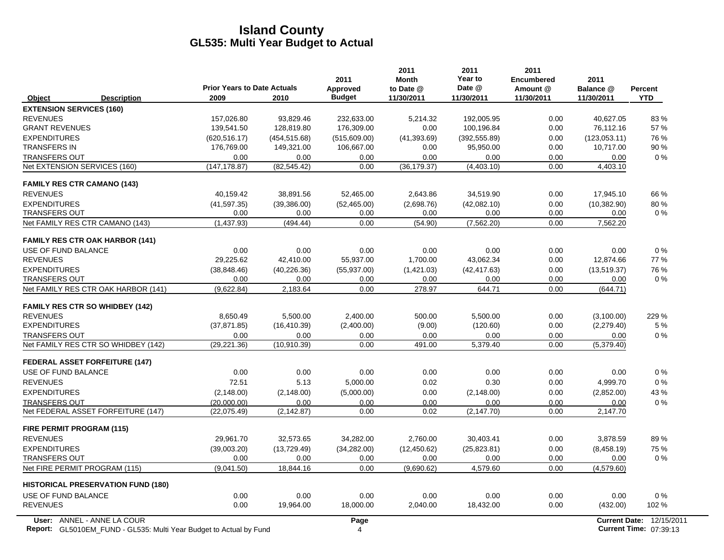|                                                                                                  | <b>Prior Years to Date Actuals</b> |               | 2011<br><b>Approved</b> | 2011<br><b>Month</b><br>to Date @ | 2011<br>Year to<br>Date @ | 2011<br><b>Encumbered</b><br>Amount @ | 2011<br>Balance @ | <b>Percent</b>                                     |
|--------------------------------------------------------------------------------------------------|------------------------------------|---------------|-------------------------|-----------------------------------|---------------------------|---------------------------------------|-------------------|----------------------------------------------------|
| <b>Description</b><br>Object                                                                     | 2009                               | 2010          | <b>Budget</b>           | 11/30/2011                        | 11/30/2011                | 11/30/2011                            | 11/30/2011        | <b>YTD</b>                                         |
| <b>EXTENSION SERVICES (160)</b>                                                                  |                                    |               |                         |                                   |                           |                                       |                   |                                                    |
| <b>REVENUES</b>                                                                                  | 157,026.80                         | 93,829.46     | 232,633.00              | 5,214.32                          | 192,005.95                | 0.00                                  | 40,627.05         | 83%                                                |
| <b>GRANT REVENUES</b>                                                                            | 139,541.50                         | 128,819.80    | 176,309.00              | 0.00                              | 100,196.84                | 0.00                                  | 76,112.16         | 57 %                                               |
| <b>EXPENDITURES</b>                                                                              | (620, 516.17)                      | (454, 515.68) | (515,609.00)            | (41, 393.69)                      | (392, 555.89)             | 0.00                                  | (123,053.11)      | 76 %                                               |
| <b>TRANSFERS IN</b>                                                                              | 176,769.00                         | 149,321.00    | 106,667.00              | 0.00                              | 95,950.00                 | 0.00                                  | 10,717.00         | 90%                                                |
| <b>TRANSFERS OUT</b>                                                                             | 0.00                               | 0.00          | 0.00                    | 0.00                              | 0.00                      | 0.00                                  | 0.00              | 0%                                                 |
| Net EXTENSION SERVICES (160)                                                                     | (147, 178.87)                      | (82, 545.42)  | 0.00                    | (36, 179.37)                      | (4,403.10)                | 0.00                                  | 4,403.10          |                                                    |
| <b>FAMILY RES CTR CAMANO (143)</b>                                                               |                                    |               |                         |                                   |                           |                                       |                   |                                                    |
| <b>REVENUES</b>                                                                                  | 40,159.42                          | 38,891.56     | 52,465.00               | 2,643.86                          | 34,519.90                 | 0.00                                  | 17,945.10         | 66 %                                               |
| <b>EXPENDITURES</b>                                                                              | (41, 597.35)                       | (39, 386.00)  | (52, 465.00)            | (2,698.76)                        | (42,082,10)               | 0.00                                  | (10, 382.90)      | 80%                                                |
| <b>TRANSFERS OUT</b>                                                                             | 0.00                               | 0.00          | 0.00                    | 0.00                              | 0.00                      | 0.00                                  | 0.00              | 0%                                                 |
| Net FAMILY RES CTR CAMANO (143)                                                                  | (1,437.93)                         | (494.44)      | 0.00                    | (54.90)                           | (7,562.20)                | 0.00                                  | 7,562.20          |                                                    |
| <b>FAMILY RES CTR OAK HARBOR (141)</b>                                                           |                                    |               |                         |                                   |                           |                                       |                   |                                                    |
| USE OF FUND BALANCE                                                                              | 0.00                               | 0.00          | 0.00                    | 0.00                              | 0.00                      | 0.00                                  | 0.00              | $0\%$                                              |
| <b>REVENUES</b>                                                                                  | 29,225.62                          | 42,410.00     | 55,937.00               | 1,700.00                          | 43,062.34                 | 0.00                                  | 12,874.66         | 77 %                                               |
| <b>EXPENDITURES</b>                                                                              | (38, 848.46)                       | (40, 226.36)  | (55, 937.00)            | (1,421.03)                        | (42, 417.63)              | 0.00                                  | (13,519.37)       | 76 %                                               |
| <b>TRANSFERS OUT</b>                                                                             | 0.00                               | 0.00          | 0.00                    | 0.00                              | 0.00                      | 0.00                                  | 0.00              | $0\%$                                              |
| Net FAMILY RES CTR OAK HARBOR (141)                                                              | (9,622.84)                         | 2,183.64      | 0.00                    | 278.97                            | 644.71                    | 0.00                                  | (644.71)          |                                                    |
| <b>FAMILY RES CTR SO WHIDBEY (142)</b>                                                           |                                    |               |                         |                                   |                           |                                       |                   |                                                    |
| <b>REVENUES</b>                                                                                  | 8.650.49                           | 5.500.00      | 2.400.00                | 500.00                            | 5.500.00                  | 0.00                                  | (3,100.00)        | 229 %                                              |
| <b>EXPENDITURES</b>                                                                              | (37, 871.85)                       | (16, 410.39)  | (2,400.00)              | (9.00)                            | (120.60)                  | 0.00                                  | (2,279.40)        | 5 %                                                |
| <b>TRANSFERS OUT</b>                                                                             | 0.00                               | 0.00          | 0.00                    | 0.00                              | 0.00                      | 0.00                                  | 0.00              | $0\%$                                              |
| Net FAMILY RES CTR SO WHIDBEY (142)                                                              | (29, 221.36)                       | (10, 910.39)  | 0.00                    | 491.00                            | 5,379.40                  | 0.00                                  | (5,379.40)        |                                                    |
| <b>FEDERAL ASSET FORFEITURE (147)</b>                                                            |                                    |               |                         |                                   |                           |                                       |                   |                                                    |
| USE OF FUND BALANCE                                                                              | 0.00                               | 0.00          | 0.00                    | 0.00                              | 0.00                      | 0.00                                  | 0.00              | 0%                                                 |
| <b>REVENUES</b>                                                                                  | 72.51                              | 5.13          | 5,000.00                | 0.02                              | 0.30                      | 0.00                                  | 4,999.70          | $0\%$                                              |
| <b>EXPENDITURES</b>                                                                              | (2, 148.00)                        | (2, 148.00)   | (5,000.00)              | 0.00                              | (2, 148.00)               | 0.00                                  | (2,852.00)        | 43 %                                               |
| <b>TRANSFERS OUT</b>                                                                             | (20,000.00)                        | 0.00          | 0.00                    | 0.00                              | 0.00                      | 0.00                                  | 0.00              | $0\%$                                              |
| Net FEDERAL ASSET FORFEITURE (147)                                                               | (22,075.49)                        | (2, 142.87)   | 0.00                    | 0.02                              | (2, 147.70)               | 0.00                                  | 2,147.70          |                                                    |
| <b>FIRE PERMIT PROGRAM (115)</b>                                                                 |                                    |               |                         |                                   |                           |                                       |                   |                                                    |
| <b>REVENUES</b>                                                                                  | 29,961.70                          | 32,573.65     | 34,282.00               | 2,760.00                          | 30,403.41                 | 0.00                                  | 3,878.59          | 89%                                                |
| <b>EXPENDITURES</b>                                                                              | (39,003.20)                        | (13, 729.49)  | (34, 282.00)            | (12, 450.62)                      | (25, 823.81)              | 0.00                                  | (8,458.19)        | 75 %                                               |
| <b>TRANSFERS OUT</b>                                                                             | 0.00                               | 0.00          | 0.00                    | 0.00                              | 0.00                      | 0.00                                  | 0.00              | $0\%$                                              |
| Net FIRE PERMIT PROGRAM (115)                                                                    | (9,041.50)                         | 18,844.16     | 0.00                    | (9,690.62)                        | 4,579.60                  | 0.00                                  | (4, 579.60)       |                                                    |
| <b>HISTORICAL PRESERVATION FUND (180)</b>                                                        |                                    |               |                         |                                   |                           |                                       |                   |                                                    |
| USE OF FUND BALANCE                                                                              | 0.00                               | 0.00          | 0.00                    | 0.00                              | 0.00                      | 0.00                                  | 0.00              | $0\%$                                              |
| <b>REVENUES</b>                                                                                  | 0.00                               | 19,964.00     | 18,000.00               | 2,040.00                          | 18,432.00                 | 0.00                                  | (432.00)          | 102 %                                              |
| User: ANNEL - ANNE LA COUR<br>Report: GL5010EM_FUND - GL535: Multi Year Budget to Actual by Fund |                                    |               | Page<br>$\overline{4}$  |                                   |                           |                                       |                   | Current Date: 12/15/2011<br>Current Time: 07:39:13 |

**Report:** GL5010EM\_FUND - GL535: Multi Year Budget to Actual by Fund 07:39:13 And 07:39:13 And 07:39:13 And 07:39:13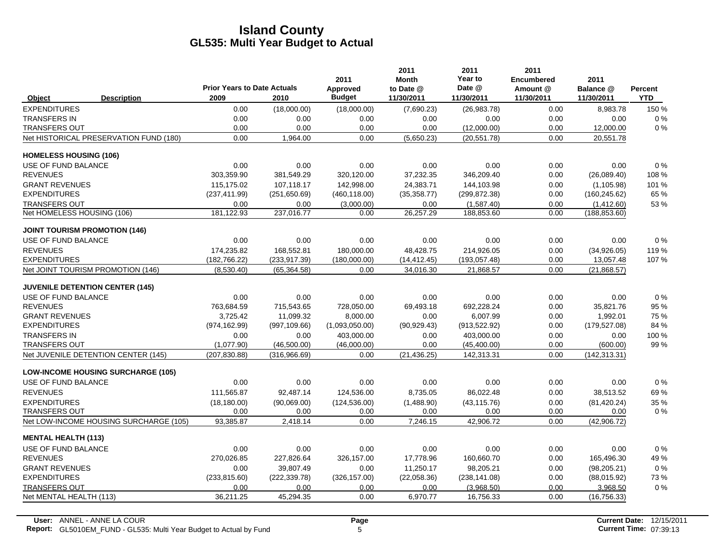|                               |                                           | <b>Prior Years to Date Actuals</b> |               | 2011<br>Approved | 2011<br><b>Month</b><br>to Date @ | 2011<br>Year to<br>Date @ | 2011<br><b>Encumbered</b><br>Amount @ | 2011<br>Balance @ |                       |
|-------------------------------|-------------------------------------------|------------------------------------|---------------|------------------|-----------------------------------|---------------------------|---------------------------------------|-------------------|-----------------------|
| Object                        | <b>Description</b>                        | 2009                               | 2010          | <b>Budget</b>    | 11/30/2011                        | 11/30/2011                | 11/30/2011                            | 11/30/2011        | Percent<br><b>YTD</b> |
| <b>EXPENDITURES</b>           |                                           | 0.00                               | (18,000.00)   | (18,000.00)      | (7,690.23)                        | (26, 983.78)              | 0.00                                  | 8,983.78          | 150 %                 |
| <b>TRANSFERS IN</b>           |                                           | 0.00                               | 0.00          | 0.00             | 0.00                              | 0.00                      | 0.00                                  | 0.00              | 0%                    |
| <b>TRANSFERS OUT</b>          |                                           | 0.00                               | 0.00          | 0.00             | 0.00                              | (12,000.00)               | 0.00                                  | 12,000.00         | 0%                    |
|                               | Net HISTORICAL PRESERVATION FUND (180)    | 0.00                               | 1,964.00      | 0.00             | (5,650.23)                        | (20, 551.78)              | 0.00                                  | 20,551.78         |                       |
| <b>HOMELESS HOUSING (106)</b> |                                           |                                    |               |                  |                                   |                           |                                       |                   |                       |
| USE OF FUND BALANCE           |                                           | 0.00                               | 0.00          | 0.00             | 0.00                              | 0.00                      | 0.00                                  | 0.00              | 0%                    |
| <b>REVENUES</b>               |                                           | 303,359.90                         | 381,549.29    | 320,120.00       | 37,232.35                         | 346,209.40                | 0.00                                  | (26,089.40)       | 108 %                 |
| <b>GRANT REVENUES</b>         |                                           | 115.175.02                         | 107.118.17    | 142.998.00       | 24,383.71                         | 144.103.98                | 0.00                                  | (1, 105.98)       | 101 %                 |
| <b>EXPENDITURES</b>           |                                           | (237, 411.99)                      | (251,650.69)  | (460, 118.00)    | (35, 358.77)                      | (299, 872.38)             | 0.00                                  | (160, 245.62)     | 65 %                  |
| <b>TRANSFERS OUT</b>          |                                           | 0.00                               | 0.00          | (3,000.00)       | 0.00                              | (1,587.40)                | 0.00                                  | (1,412.60)        | 53 %                  |
| Net HOMELESS HOUSING (106)    |                                           | 181,122.93                         | 237,016.77    | 0.00             | 26,257.29                         | 188,853.60                | 0.00                                  | (188, 853.60)     |                       |
|                               | <b>JOINT TOURISM PROMOTION (146)</b>      |                                    |               |                  |                                   |                           |                                       |                   |                       |
| USE OF FUND BALANCE           |                                           | 0.00                               | 0.00          | 0.00             | 0.00                              | 0.00                      | 0.00                                  | 0.00              | 0%                    |
| <b>REVENUES</b>               |                                           | 174.235.82                         | 168,552.81    | 180,000.00       | 48.428.75                         | 214.926.05                | 0.00                                  | (34,926.05)       | 119%                  |
| <b>EXPENDITURES</b>           |                                           | (182, 766.22)                      | (233, 917.39) | (180,000.00)     | (14, 412.45)                      | (193, 057.48)             | 0.00                                  | 13,057.48         | 107%                  |
|                               | Net JOINT TOURISM PROMOTION (146)         | (8,530.40)                         | (65, 364.58)  | 0.00             | 34,016.30                         | 21,868.57                 | 0.00                                  | (21, 868.57)      |                       |
|                               | <b>JUVENILE DETENTION CENTER (145)</b>    |                                    |               |                  |                                   |                           |                                       |                   |                       |
| USE OF FUND BALANCE           |                                           | 0.00                               | 0.00          | 0.00             | 0.00                              | 0.00                      | 0.00                                  | 0.00              | 0%                    |
| <b>REVENUES</b>               |                                           | 763,684.59                         | 715,543.65    | 728,050.00       | 69,493.18                         | 692,228.24                | 0.00                                  | 35,821.76         | 95 %                  |
| <b>GRANT REVENUES</b>         |                                           | 3,725.42                           | 11,099.32     | 8,000.00         | 0.00                              | 6,007.99                  | 0.00                                  | 1,992.01          | 75 %                  |
| <b>EXPENDITURES</b>           |                                           | (974, 162.99)                      | (997, 109.66) | (1,093,050.00)   | (90, 929.43)                      | (913, 522.92)             | 0.00                                  | (179, 527.08)     | 84 %                  |
| <b>TRANSFERS IN</b>           |                                           | 0.00                               | 0.00          | 403,000.00       | 0.00                              | 403,000.00                | 0.00                                  | 0.00              | 100 %                 |
| <b>TRANSFERS OUT</b>          |                                           | (1,077.90)                         | (46,500.00)   | (46,000.00)      | 0.00                              | (45, 400.00)              | 0.00                                  | (600.00)          | 99 %                  |
|                               | Net JUVENILE DETENTION CENTER (145)       | (207, 830.88)                      | (316,966.69)  | 0.00             | (21, 436.25)                      | 142,313.31                | 0.00                                  | (142, 313.31)     |                       |
|                               | <b>LOW-INCOME HOUSING SURCHARGE (105)</b> |                                    |               |                  |                                   |                           |                                       |                   |                       |
| USE OF FUND BALANCE           |                                           | 0.00                               | 0.00          | 0.00             | 0.00                              | 0.00                      | 0.00                                  | 0.00              | 0%                    |
| <b>REVENUES</b>               |                                           | 111,565.87                         | 92,487.14     | 124,536.00       | 8,735.05                          | 86,022.48                 | 0.00                                  | 38,513.52         | 69%                   |
| <b>EXPENDITURES</b>           |                                           | (18, 180.00)                       | (90,069.00)   | (124, 536.00)    | (1,488.90)                        | (43, 115.76)              | 0.00                                  | (81, 420.24)      | 35 %                  |
| <b>TRANSFERS OUT</b>          |                                           | 0.00                               | 0.00          | 0.00             | 0.00                              | 0.00                      | 0.00                                  | 0.00              | $0\%$                 |
|                               | Net LOW-INCOME HOUSING SURCHARGE (105)    | 93,385.87                          | 2,418.14      | 0.00             | 7,246.15                          | 42,906.72                 | 0.00                                  | (42,906.72)       |                       |
| <b>MENTAL HEALTH (113)</b>    |                                           |                                    |               |                  |                                   |                           |                                       |                   |                       |
| USE OF FUND BALANCE           |                                           | 0.00                               | 0.00          | 0.00             | 0.00                              | 0.00                      | 0.00                                  | 0.00              | 0%                    |
| <b>REVENUES</b>               |                                           | 270,026.85                         | 227,826.64    | 326,157.00       | 17,778.96                         | 160,660.70                | 0.00                                  | 165,496.30        | 49 %                  |
| <b>GRANT REVENUES</b>         |                                           | 0.00                               | 39.807.49     | 0.00             | 11.250.17                         | 98.205.21                 | 0.00                                  | (98, 205.21)      | 0%                    |
| <b>EXPENDITURES</b>           |                                           | (233, 815.60)                      | (222, 339.78) | (326, 157.00)    | (22,058.36)                       | (238, 141.08)             | 0.00                                  | (88,015.92)       | 73%                   |
| <b>TRANSFERS OUT</b>          |                                           | 0.00                               | 0.00          | 0.00             | 0.00                              | (3,968.50)                | 0.00                                  | 3,968.50          | 0%                    |
| Net MENTAL HEALTH (113)       |                                           | 36,211.25                          | 45,294.35     | 0.00             | 6,970.77                          | 16,756.33                 | 0.00                                  | (16, 756.33)      |                       |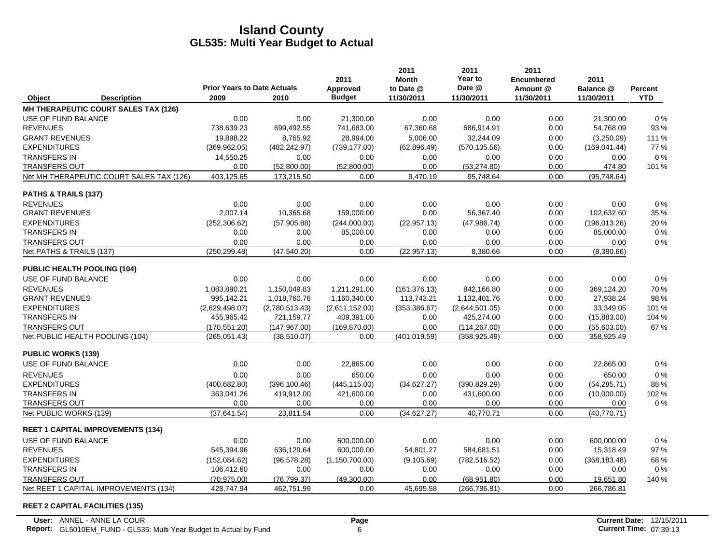|                            |                                          |                                            |                | 2011                      | 2011<br><b>Month</b>    | 2011<br>Year to      | 2011<br><b>Encumbered</b> | 2011                    |                       |
|----------------------------|------------------------------------------|--------------------------------------------|----------------|---------------------------|-------------------------|----------------------|---------------------------|-------------------------|-----------------------|
| Object                     | <b>Description</b>                       | <b>Prior Years to Date Actuals</b><br>2009 | 2010           | Approved<br><b>Budget</b> | to Date @<br>11/30/2011 | Date @<br>11/30/2011 | Amount @<br>11/30/2011    | Balance @<br>11/30/2011 | Percent<br><b>YTD</b> |
|                            | MH THERAPEUTIC COURT SALES TAX (126)     |                                            |                |                           |                         |                      |                           |                         |                       |
| USE OF FUND BALANCE        |                                          | 0.00                                       | 0.00           | 21,300.00                 | 0.00                    | 0.00                 | 0.00                      | 21,300.00               | 0%                    |
| <b>REVENUES</b>            |                                          | 738,639.23                                 | 699,492.55     | 741,683.00                | 67,360.68               | 686,914.91           | 0.00                      | 54,768.09               | 93 %                  |
| <b>GRANT REVENUES</b>      |                                          | 19.898.22                                  | 8,765.92       | 28.994.00                 | 5,006.00                | 32.244.09            | 0.00                      | (3,250.09)              | 111%                  |
| <b>EXPENDITURES</b>        |                                          | (369, 962.05)                              | (482, 242.97)  | (739, 177.00)             | (62, 896.49)            | (570, 135.56)        | 0.00                      | (169, 041.44)           | 77%                   |
| <b>TRANSFERS IN</b>        |                                          | 14,550.25                                  | 0.00           | 0.00                      | 0.00                    | 0.00                 | 0.00                      | 0.00                    | 0%                    |
| <b>TRANSFERS OUT</b>       |                                          | 0.00                                       | (52,800.00)    | (52,800.00)               | 0.00                    | (53, 274.80)         | 0.00                      | 474.80                  | 101%                  |
|                            | Net MH THERAPEUTIC COURT SALES TAX (126) | 403,125.65                                 | 173,215.50     | 0.00                      | 9,470.19                | 95,748.64            | 0.00                      | (95,748.64)             |                       |
| PATHS & TRAILS (137)       |                                          |                                            |                |                           |                         |                      |                           |                         |                       |
| <b>REVENUES</b>            |                                          | 0.00                                       | 0.00           | 0.00                      | 0.00                    | 0.00                 | 0.00                      | 0.00                    | 0%                    |
| <b>GRANT REVENUES</b>      |                                          | 2,007.14                                   | 10,365.68      | 159,000.00                | 0.00                    | 56,367.40            | 0.00                      | 102,632.60              | 35 %                  |
| <b>EXPENDITURES</b>        |                                          | (252, 306.62)                              | (57,905.88)    | (244,000.00)              | (22, 957.13)            | (47, 986.74)         | 0.00                      | (196, 013.26)           | 20%                   |
| <b>TRANSFERS IN</b>        |                                          | 0.00                                       | 0.00           | 85,000.00                 | 0.00                    | 0.00                 | 0.00                      | 85,000.00               | 0%                    |
| <b>TRANSFERS OUT</b>       |                                          | 0.00                                       | 0.00           | 0.00                      | 0.00                    | 0.00                 | 0.00                      | 0.00                    | 0%                    |
| Net PATHS & TRAILS (137)   |                                          | (250, 299.48)                              | (47, 540.20)   | 0.00                      | (22, 957.13)            | 8,380.66             | 0.00                      | (8,380.66)              |                       |
|                            | PUBLIC HEALTH POOLING (104)              |                                            |                |                           |                         |                      |                           |                         |                       |
| USE OF FUND BALANCE        |                                          | 0.00                                       | 0.00           | 0.00                      | 0.00                    | 0.00                 | 0.00                      | 0.00                    | 0%                    |
| <b>REVENUES</b>            |                                          | 1.083.890.21                               | 1.150.049.83   | 1,211,291.00              | (161, 376.13)           | 842.166.80           | 0.00                      | 369.124.20              | 70 %                  |
| <b>GRANT REVENUES</b>      |                                          | 995,142.21                                 | 1,018,760.76   | 1,160,340.00              | 113,743.21              | 1,132,401.76         | 0.00                      | 27,938.24               | 98 %                  |
| <b>EXPENDITURES</b>        |                                          | (2,629,498.07)                             | (2,780,513.43) | (2,611,152.00)            | (353, 386.67)           | (2,644,501.05)       | 0.00                      | 33,349.05               | 101 %                 |
| <b>TRANSFERS IN</b>        |                                          | 455,965.42                                 | 721,159.77     | 409,391.00                | 0.00                    | 425,274.00           | 0.00                      | (15,883.00)             | 104 %                 |
| <b>TRANSFERS OUT</b>       |                                          | (170, 551.20)                              | (147, 967.00)  | (169, 870.00)             | 0.00                    | (114, 267.00)        | 0.00                      | (55,603.00)             | 67%                   |
|                            | Net PUBLIC HEALTH POOLING (104)          | (265, 051.43)                              | (38, 510.07)   | 0.00                      | (401, 019.59)           | (358, 925.49)        | 0.00                      | 358,925.49              |                       |
| <b>PUBLIC WORKS (139)</b>  |                                          |                                            |                |                           |                         |                      |                           |                         |                       |
| <b>USE OF FUND BALANCE</b> |                                          | 0.00                                       | 0.00           | 22,865.00                 | 0.00                    | 0.00                 | 0.00                      | 22,865.00               | 0%                    |
| <b>REVENUES</b>            |                                          | 0.00                                       | 0.00           | 650.00                    | 0.00                    | 0.00                 | 0.00                      | 650.00                  | 0%                    |
| <b>EXPENDITURES</b>        |                                          | (400, 682.80)                              | (396, 100.46)  | (445, 115.00)             | (34,627.27)             | (390, 829.29)        | 0.00                      | (54, 285.71)            | 88%                   |
| <b>TRANSFERS IN</b>        |                                          | 363,041.26                                 | 419,912.00     | 421,600.00                | 0.00                    | 431,600.00           | 0.00                      | (10,000.00)             | 102%                  |
| <b>TRANSFERS OUT</b>       |                                          | 0.00                                       | 0.00           | 0.00                      | 0.00                    | 0.00                 | 0.00                      | 0.00                    | 0%                    |
| Net PUBLIC WORKS (139)     |                                          | (37, 641.54)                               | 23,811.54      | 0.00                      | (34,627.27)             | 40,770.71            | 0.00                      | (40,770.71)             |                       |
|                            | <b>REET 1 CAPITAL IMPROVEMENTS (134)</b> |                                            |                |                           |                         |                      |                           |                         |                       |
| USE OF FUND BALANCE        |                                          | 0.00                                       | 0.00           | 600,000.00                | 0.00                    | 0.00                 | 0.00                      | 600,000.00              | $0\%$                 |
| <b>REVENUES</b>            |                                          | 545,394.96                                 | 636,129.64     | 600,000.00                | 54,801.27               | 584,681.51           | 0.00                      | 15,318.49               | 97 %                  |
| <b>EXPENDITURES</b>        |                                          | (152,084.62)                               | (96, 578.28)   | (1, 150, 700.00)          | (9, 105.69)             | (782, 516.52)        | 0.00                      | (368, 183.48)           | 68%                   |
| <b>TRANSFERS IN</b>        |                                          | 106,412.60                                 | 0.00           | 0.00                      | 0.00                    | 0.00                 | 0.00                      | 0.00                    | 0%                    |
| <b>TRANSFERS OUT</b>       |                                          | (70, 975.00)                               | (76, 799.37)   | (49,300.00)               | 0.00                    | (68,951.80)          | 0.00                      | 19,651.80               | 140 %                 |
|                            | Net REET 1 CAPITAL IMPROVEMENTS (134)    | 428,747.94                                 | 462,751.99     | 0.00                      | 45,695.58               | (266, 786.81)        | 0.00                      | 266,786.81              |                       |

**REET 2 CAPITAL FACILITIES (135)**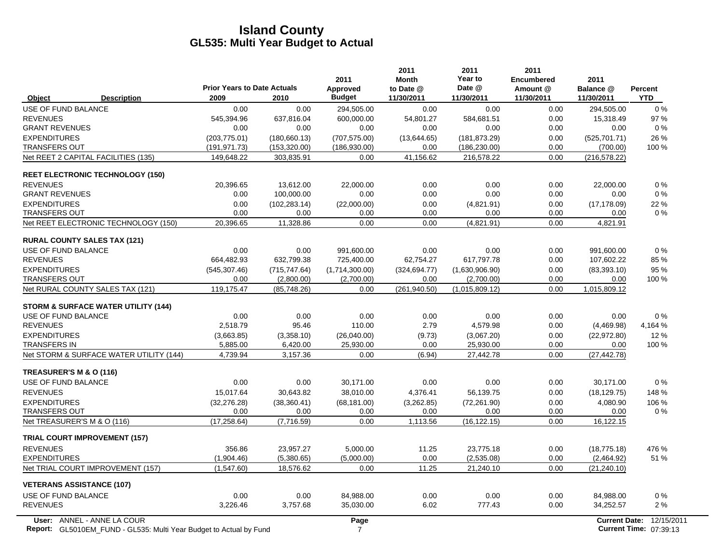|                                                                                                         | <b>Prior Years to Date Actuals</b> |                | 2011<br><b>Approved</b> | 2011<br><b>Month</b><br>to Date @ | 2011<br>Year to<br>Date @ | 2011<br><b>Encumbered</b><br>Amount @ | 2011<br>Balance @    | <b>Percent</b>                       |
|---------------------------------------------------------------------------------------------------------|------------------------------------|----------------|-------------------------|-----------------------------------|---------------------------|---------------------------------------|----------------------|--------------------------------------|
| <b>Description</b><br>Object                                                                            | 2009                               | 2010           | <b>Budget</b>           | 11/30/2011                        | 11/30/2011                | 11/30/2011                            | 11/30/2011           | <b>YTD</b>                           |
| USE OF FUND BALANCE                                                                                     | 0.00                               | 0.00           | 294,505.00              | 0.00                              | 0.00                      | 0.00                                  | 294,505.00           | $0\%$                                |
| <b>REVENUES</b>                                                                                         | 545,394.96                         | 637,816.04     | 600,000.00              | 54,801.27                         | 584,681.51                | 0.00                                  | 15,318.49            | 97 %                                 |
| <b>GRANT REVENUES</b>                                                                                   | 0.00                               | 0.00           | 0.00                    | 0.00                              | 0.00                      | 0.00                                  | 0.00                 | $0\%$                                |
| <b>EXPENDITURES</b>                                                                                     | (203, 775.01)                      | (180, 660.13)  | (707, 575.00)           | (13,644.65)                       | (181, 873.29)             | 0.00                                  | (525, 701.71)        | 26 %                                 |
| <b>TRANSFERS OUT</b>                                                                                    | (191, 971.73)                      | (153, 320.00)  | (186,930.00)            | 0.00                              | (186, 230.00)             | 0.00                                  | (700.00)             | 100 %                                |
| Net REET 2 CAPITAL FACILITIES (135)                                                                     | 149,648.22                         | 303,835.91     | 0.00                    | 41,156.62                         | 216,578.22                | 0.00                                  | (216, 578.22)        |                                      |
| <b>REET ELECTRONIC TECHNOLOGY (150)</b>                                                                 |                                    |                |                         |                                   |                           |                                       |                      |                                      |
| <b>REVENUES</b>                                                                                         | 20,396.65                          | 13,612.00      | 22,000.00               | 0.00                              | 0.00                      | 0.00                                  | 22,000.00            | $0\%$                                |
| <b>GRANT REVENUES</b>                                                                                   | 0.00                               | 100,000.00     | 0.00                    | 0.00                              | 0.00                      | 0.00                                  | 0.00                 | $0\%$                                |
| <b>EXPENDITURES</b>                                                                                     | 0.00                               | (102, 283, 14) | (22,000.00)             | 0.00                              | (4,821.91)                | 0.00                                  | (17, 178.09)         | 22 %                                 |
| <b>TRANSFERS OUT</b>                                                                                    | 0.00                               | 0.00           | 0.00                    | 0.00                              | 0.00                      | 0.00                                  | 0.00                 | $0\%$                                |
| Net REET ELECTRONIC TECHNOLOGY (150)                                                                    | 20,396.65                          | 11,328.86      | 0.00                    | 0.00                              | (4,821.91)                | 0.00                                  | 4,821.91             |                                      |
| <b>RURAL COUNTY SALES TAX (121)</b>                                                                     |                                    |                |                         |                                   |                           |                                       |                      |                                      |
| USE OF FUND BALANCE                                                                                     | 0.00                               | 0.00           | 991.600.00              | 0.00                              | 0.00                      | 0.00                                  | 991.600.00           | 0%                                   |
| <b>REVENUES</b>                                                                                         | 664,482.93                         | 632,799.38     | 725,400.00              | 62,754.27                         | 617,797.78                | 0.00                                  | 107,602.22           | 85%                                  |
| <b>EXPENDITURES</b>                                                                                     | (545, 307.46)                      | (715, 747.64)  | (1,714,300.00)          | (324.694.77)                      | (1,630,906.90)            | 0.00                                  | (83, 393, 10)        | 95 %                                 |
| <b>TRANSFERS OUT</b>                                                                                    | 0.00                               | (2,800.00)     | (2,700.00)              | 0.00                              | (2,700.00)                | 0.00                                  | 0.00                 | 100 %                                |
| Net RURAL COUNTY SALES TAX (121)                                                                        | 119,175.47                         | (85,748.26)    | 0.00                    | (261, 940.50)                     | (1,015,809.12)            | 0.00                                  | 1,015,809.12         |                                      |
| <b>STORM &amp; SURFACE WATER UTILITY (144)</b>                                                          |                                    |                |                         |                                   |                           |                                       |                      |                                      |
| USE OF FUND BALANCE                                                                                     | 0.00                               | 0.00           | 0.00                    | 0.00                              | 0.00                      | 0.00                                  | 0.00                 | 0%                                   |
| <b>REVENUES</b>                                                                                         | 2,518.79                           | 95.46          | 110.00                  | 2.79                              | 4,579.98                  | 0.00                                  | (4,469.98)           | 4,164 %                              |
| <b>EXPENDITURES</b>                                                                                     | (3,663.85)                         | (3,358.10)     | (26,040.00)             | (9.73)                            | (3,067.20)                | 0.00                                  | (22, 972.80)         | 12%                                  |
| <b>TRANSFERS IN</b>                                                                                     | 5,885.00                           | 6,420.00       | 25,930.00               | 0.00                              | 25,930.00                 | 0.00                                  | 0.00                 | 100 %                                |
| Net STORM & SURFACE WATER UTILITY (144)                                                                 | 4,739.94                           | 3,157.36       | 0.00                    | (6.94)                            | 27,442.78                 | 0.00                                  | (27, 442.78)         |                                      |
| TREASURER'S M & O (116)                                                                                 |                                    |                |                         |                                   |                           |                                       |                      |                                      |
| USE OF FUND BALANCE                                                                                     | 0.00                               | 0.00           | 30,171.00               | 0.00                              | 0.00                      | 0.00                                  | 30,171.00            | 0%                                   |
| <b>REVENUES</b>                                                                                         | 15,017.64                          | 30,643.82      | 38,010.00               | 4,376.41                          | 56,139.75                 | 0.00                                  | (18, 129.75)         | 148 %                                |
| <b>EXPENDITURES</b>                                                                                     | (32, 276.28)                       | (38, 360.41)   | (68, 181.00)            | (3,262.85)                        | (72, 261.90)              | 0.00                                  | 4,080.90             | 106 %                                |
| <b>TRANSFERS OUT</b>                                                                                    | 0.00                               | 0.00           | 0.00                    | 0.00                              | 0.00                      | 0.00                                  | 0.00                 | $0\%$                                |
| Net TREASURER'S M & O (116)                                                                             | (17, 258.64)                       | (7,716.59)     | 0.00                    | 1,113.56                          | (16, 122.15)              | 0.00                                  | 16,122.15            |                                      |
| <b>TRIAL COURT IMPROVEMENT (157)</b>                                                                    |                                    |                |                         |                                   |                           |                                       |                      |                                      |
| <b>REVENUES</b>                                                                                         | 356.86                             | 23,957.27      | 5,000.00                | 11.25                             | 23,775.18                 | 0.00                                  | (18, 775.18)         | 476 %                                |
| <b>EXPENDITURES</b>                                                                                     | (1,904.46)                         | (5,380.65)     | (5,000.00)              | 0.00                              | (2,535.08)                | 0.00                                  | (2,464.92)           | 51 %                                 |
| Net TRIAL COURT IMPROVEMENT (157)                                                                       | (1,547.60)                         | 18,576.62      | 0.00                    | 11.25                             | 21,240.10                 | 0.00                                  | (21, 240.10)         |                                      |
| <b>VETERANS ASSISTANCE (107)</b>                                                                        |                                    |                |                         |                                   |                           |                                       |                      |                                      |
| USE OF FUND BALANCE                                                                                     | 0.00                               | 0.00           | 84,988.00               | 0.00                              | 0.00                      | 0.00                                  | 84,988.00            | 0%                                   |
| <b>REVENUES</b>                                                                                         | 3,226.46                           | 3,757.68       | 35,030.00               | 6.02                              | 777.43                    | 0.00                                  | 34,252.57            | 2%                                   |
| User: ANNEL - ANNE LA COUR<br><b>Report:</b> GL5010EM FUND - GL535: Multi Year Budget to Actual by Fund |                                    |                | Page<br>7               |                                   |                           |                                       | <b>Current Date:</b> | 12/15/2011<br>Current Time: 07:39:13 |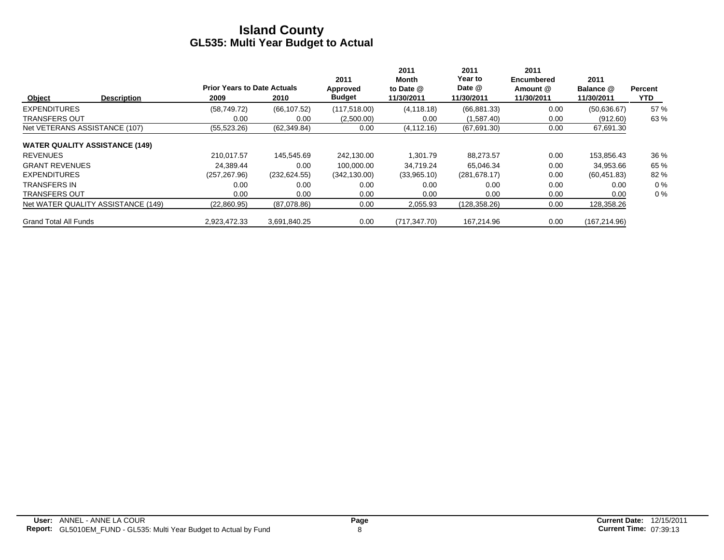|                                       | <b>Prior Years to Date Actuals</b> |               | 2011<br>Approved | 2011<br>Month<br>to Date @ | 2011<br>Year to<br>Date @ | 2011<br><b>Encumbered</b><br>Amount @ | 2011<br>Balance @ | <b>Percent</b> |
|---------------------------------------|------------------------------------|---------------|------------------|----------------------------|---------------------------|---------------------------------------|-------------------|----------------|
| Object<br><b>Description</b>          | 2009                               | 2010          | <b>Budget</b>    | 11/30/2011                 | 11/30/2011                | 11/30/2011                            | 11/30/2011        | YTD.           |
| <b>EXPENDITURES</b>                   | (58, 749.72)                       | (66, 107.52)  | (117, 518.00)    | (4, 118.18)                | (66, 881.33)              | 0.00                                  | (50,636.67)       | 57 %           |
| <b>TRANSFERS OUT</b>                  | 0.00                               | 0.00          | (2,500.00)       | 0.00                       | (1,587.40)                | 0.00                                  | (912.60)          | 63%            |
| Net VETERANS ASSISTANCE (107)         | (55, 523.26)                       | (62, 349.84)  | 0.00             | (4, 112.16)                | (67, 691.30)              | 0.00                                  | 67,691.30         |                |
| <b>WATER QUALITY ASSISTANCE (149)</b> |                                    |               |                  |                            |                           |                                       |                   |                |
| <b>REVENUES</b>                       | 210.017.57                         | 145,545.69    | 242,130.00       | 1,301.79                   | 88,273.57                 | 0.00                                  | 153,856.43        | 36 %           |
| <b>GRANT REVENUES</b>                 | 24.389.44                          | 0.00          | 100.000.00       | 34,719.24                  | 65.046.34                 | 0.00                                  | 34,953.66         | 65 %           |
| <b>EXPENDITURES</b>                   | (257, 267.96)                      | (232, 624.55) | (342, 130.00)    | (33,965.10)                | (281, 678.17)             | 0.00                                  | (60, 451.83)      | 82 %           |
| <b>TRANSFERS IN</b>                   | 0.00                               | 0.00          | 0.00             | 0.00                       | 0.00                      | 0.00                                  | 0.00              | $0\%$          |
| <b>TRANSFERS OUT</b>                  | 0.00                               | 0.00          | 0.00             | 0.00                       | 0.00                      | 0.00                                  | 0.00              | $0\%$          |
| Net WATER QUALITY ASSISTANCE (149)    | (22,860.95)                        | (87,078.86)   | 0.00             | 2,055.93                   | (128, 358.26)             | 0.00                                  | 128,358.26        |                |
| <b>Grand Total All Funds</b>          | 2.923.472.33                       | 3.691.840.25  | 0.00             | (717.347.70)               | 167.214.96                | 0.00                                  | (167, 214.96)     |                |